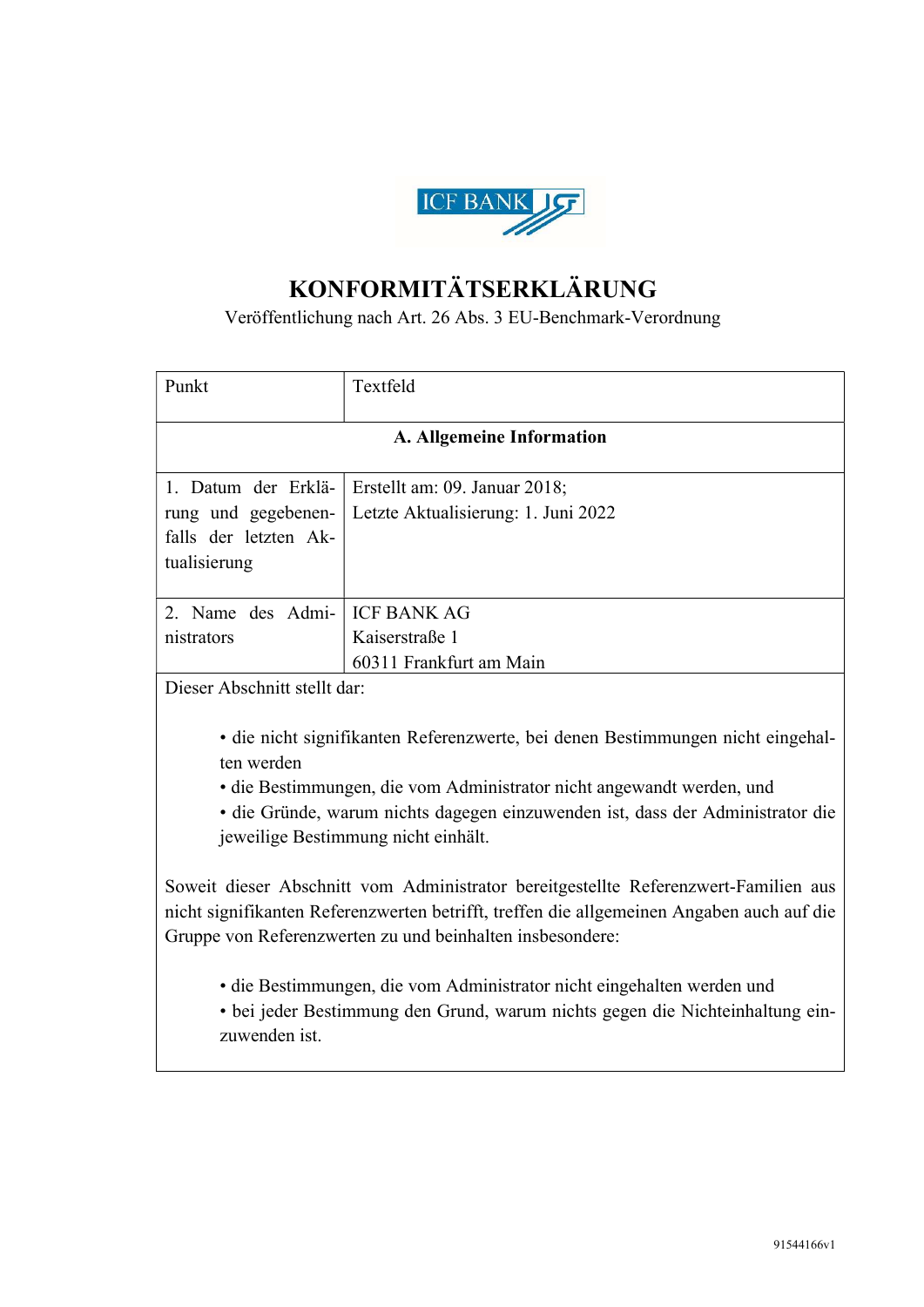

## KONFORMITÄTSERKLÄRUNG

## Veröffentlichung nach Art. 26 Abs. 3 EU-Benchmark-Verordnung

| Punkt                        | Textfeld                                                                        |
|------------------------------|---------------------------------------------------------------------------------|
|                              |                                                                                 |
|                              | A. Allgemeine Information                                                       |
|                              |                                                                                 |
| 1. Datum der Erklä-          | Erstellt am: 09. Januar 2018;                                                   |
| rung und gegebenen-          | Letzte Aktualisierung: 1. Juni 2022                                             |
| falls der letzten Ak-        |                                                                                 |
| tualisierung                 |                                                                                 |
|                              |                                                                                 |
| 2. Name des Admi-            | <b>ICF BANK AG</b>                                                              |
| nistrators                   | Kaiserstraße 1                                                                  |
|                              | 60311 Frankfurt am Main                                                         |
| Dieser Abschnitt stellt dar: |                                                                                 |
|                              |                                                                                 |
|                              | · die nicht signifikanten Referenzwerte, bei denen Bestimmungen nicht eingehal- |
| ten werden                   |                                                                                 |

• die Bestimmungen, die vom Administrator nicht angewandt werden, und

• die Gründe, warum nichts dagegen einzuwenden ist, dass der Administrator die jeweilige Bestimmung nicht einhält.

Soweit dieser Abschnitt vom Administrator bereitgestellte Referenzwert-Familien aus nicht signifikanten Referenzwerten betrifft, treffen die allgemeinen Angaben auch auf die Gruppe von Referenzwerten zu und beinhalten insbesondere:

• die Bestimmungen, die vom Administrator nicht eingehalten werden und

• bei jeder Bestimmung den Grund, warum nichts gegen die Nichteinhaltung einzuwenden ist.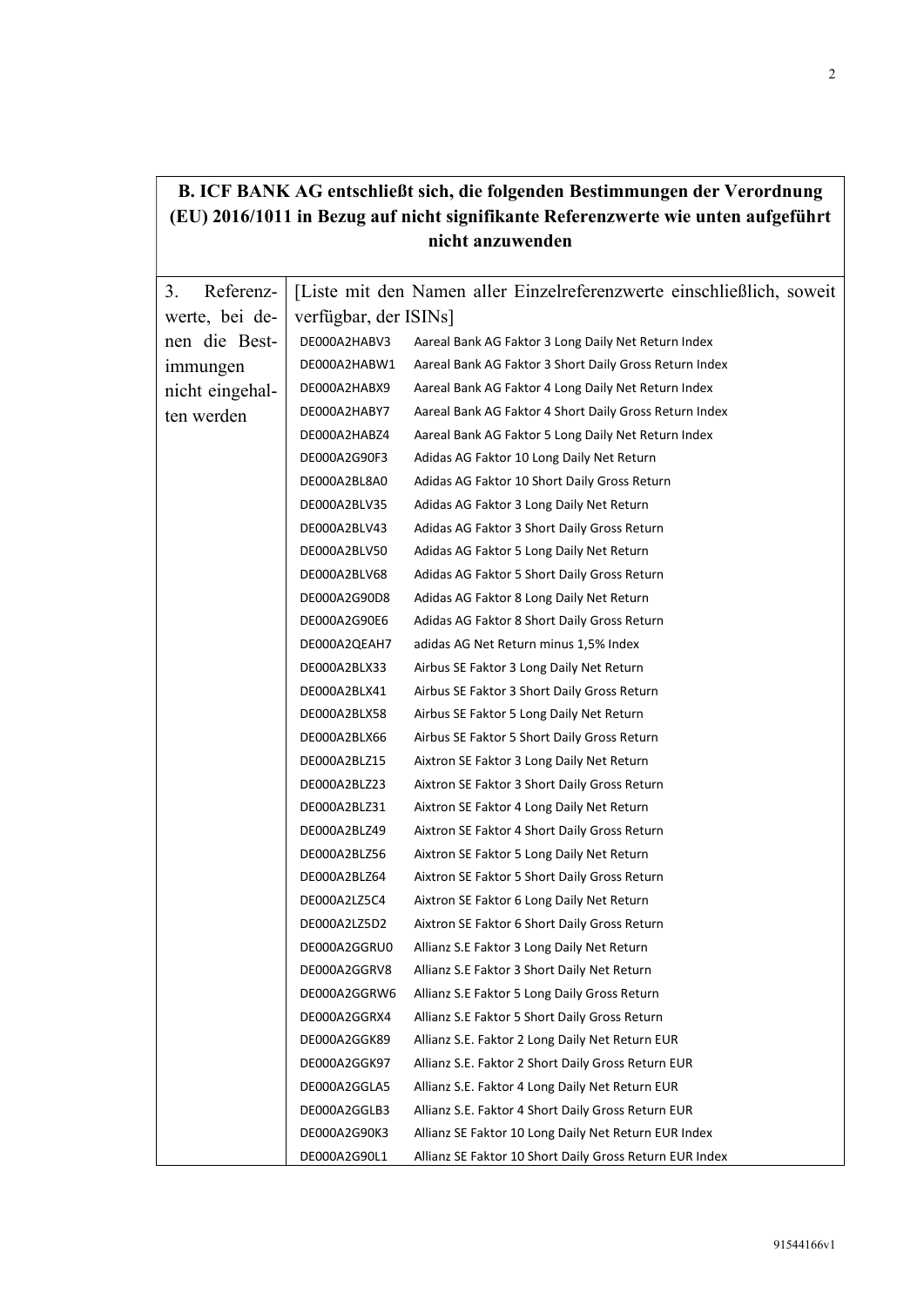|                 |                              | р. гот ряти но спізнінея мін, ще юіденися резинніцівдії чег у сгогинив<br>(EU) 2016/1011 in Bezug auf nicht signifikante Referenzwerte wie unten aufgeführt<br>nicht anzuwenden |
|-----------------|------------------------------|---------------------------------------------------------------------------------------------------------------------------------------------------------------------------------|
| Referenz-<br>3. |                              | [Liste mit den Namen aller Einzelreferenzwerte einschließlich, soweit                                                                                                           |
| werte, bei de-  | verfügbar, der ISINs]        |                                                                                                                                                                                 |
| nen die Best-   |                              |                                                                                                                                                                                 |
|                 | DE000A2HABV3                 | Aareal Bank AG Faktor 3 Long Daily Net Return Index                                                                                                                             |
| immungen        | DE000A2HABW1                 | Aareal Bank AG Faktor 3 Short Daily Gross Return Index                                                                                                                          |
| nicht eingehal- | DE000A2HABX9<br>DE000A2HABY7 | Aareal Bank AG Faktor 4 Long Daily Net Return Index                                                                                                                             |
| ten werden      |                              | Aareal Bank AG Faktor 4 Short Daily Gross Return Index                                                                                                                          |
|                 | DE000A2HABZ4                 | Aareal Bank AG Faktor 5 Long Daily Net Return Index                                                                                                                             |
|                 | DE000A2G90F3                 | Adidas AG Faktor 10 Long Daily Net Return                                                                                                                                       |
|                 | DE000A2BL8A0                 | Adidas AG Faktor 10 Short Daily Gross Return                                                                                                                                    |
|                 | DE000A2BLV35                 | Adidas AG Faktor 3 Long Daily Net Return                                                                                                                                        |
|                 | DE000A2BLV43                 | Adidas AG Faktor 3 Short Daily Gross Return                                                                                                                                     |
|                 | DE000A2BLV50                 | Adidas AG Faktor 5 Long Daily Net Return                                                                                                                                        |
|                 | DE000A2BLV68                 | Adidas AG Faktor 5 Short Daily Gross Return                                                                                                                                     |
|                 | DE000A2G90D8                 | Adidas AG Faktor 8 Long Daily Net Return                                                                                                                                        |
|                 | DE000A2G90E6                 | Adidas AG Faktor 8 Short Daily Gross Return                                                                                                                                     |
|                 | DE000A2QEAH7                 | adidas AG Net Return minus 1,5% Index                                                                                                                                           |
|                 | DE000A2BLX33                 | Airbus SE Faktor 3 Long Daily Net Return                                                                                                                                        |
|                 | DE000A2BLX41                 | Airbus SE Faktor 3 Short Daily Gross Return                                                                                                                                     |
|                 | DE000A2BLX58                 | Airbus SE Faktor 5 Long Daily Net Return                                                                                                                                        |
|                 | DE000A2BLX66                 | Airbus SE Faktor 5 Short Daily Gross Return                                                                                                                                     |
|                 | DE000A2BLZ15                 | Aixtron SE Faktor 3 Long Daily Net Return                                                                                                                                       |
|                 | DE000A2BLZ23                 | Aixtron SE Faktor 3 Short Daily Gross Return                                                                                                                                    |
|                 | DE000A2BLZ31                 | Aixtron SE Faktor 4 Long Daily Net Return                                                                                                                                       |
|                 | DE000A2BLZ49                 | Aixtron SE Faktor 4 Short Daily Gross Return                                                                                                                                    |
|                 | DE000A2BLZ56                 | Aixtron SE Faktor 5 Long Daily Net Return                                                                                                                                       |
|                 | DE000A2BLZ64                 | Aixtron SE Faktor 5 Short Daily Gross Return                                                                                                                                    |
|                 | DE000A2LZ5C4                 | Aixtron SE Faktor 6 Long Daily Net Return                                                                                                                                       |
|                 | DE000A2LZ5D2                 | Aixtron SE Faktor 6 Short Daily Gross Return                                                                                                                                    |
|                 | DE000A2GGRU0                 | Allianz S.E Faktor 3 Long Daily Net Return                                                                                                                                      |
|                 | DE000A2GGRV8                 | Allianz S.E Faktor 3 Short Daily Net Return                                                                                                                                     |
|                 | DE000A2GGRW6                 | Allianz S.E Faktor 5 Long Daily Gross Return                                                                                                                                    |
|                 | DE000A2GGRX4                 | Allianz S.E Faktor 5 Short Daily Gross Return                                                                                                                                   |
|                 | DE000A2GGK89                 | Allianz S.E. Faktor 2 Long Daily Net Return EUR                                                                                                                                 |
|                 | DE000A2GGK97                 | Allianz S.E. Faktor 2 Short Daily Gross Return EUR                                                                                                                              |
|                 | DE000A2GGLA5                 | Allianz S.E. Faktor 4 Long Daily Net Return EUR                                                                                                                                 |
|                 | DE000A2GGLB3                 | Allianz S.E. Faktor 4 Short Daily Gross Return EUR                                                                                                                              |
|                 | DE000A2G90K3                 | Allianz SE Faktor 10 Long Daily Net Return EUR Index                                                                                                                            |
|                 | DE000A2G90L1                 | Allianz SE Faktor 10 Short Daily Gross Return EUR Index                                                                                                                         |

## B. ICF BANK AG entschließt sich, die folgenden Bestimmungen der Verordnung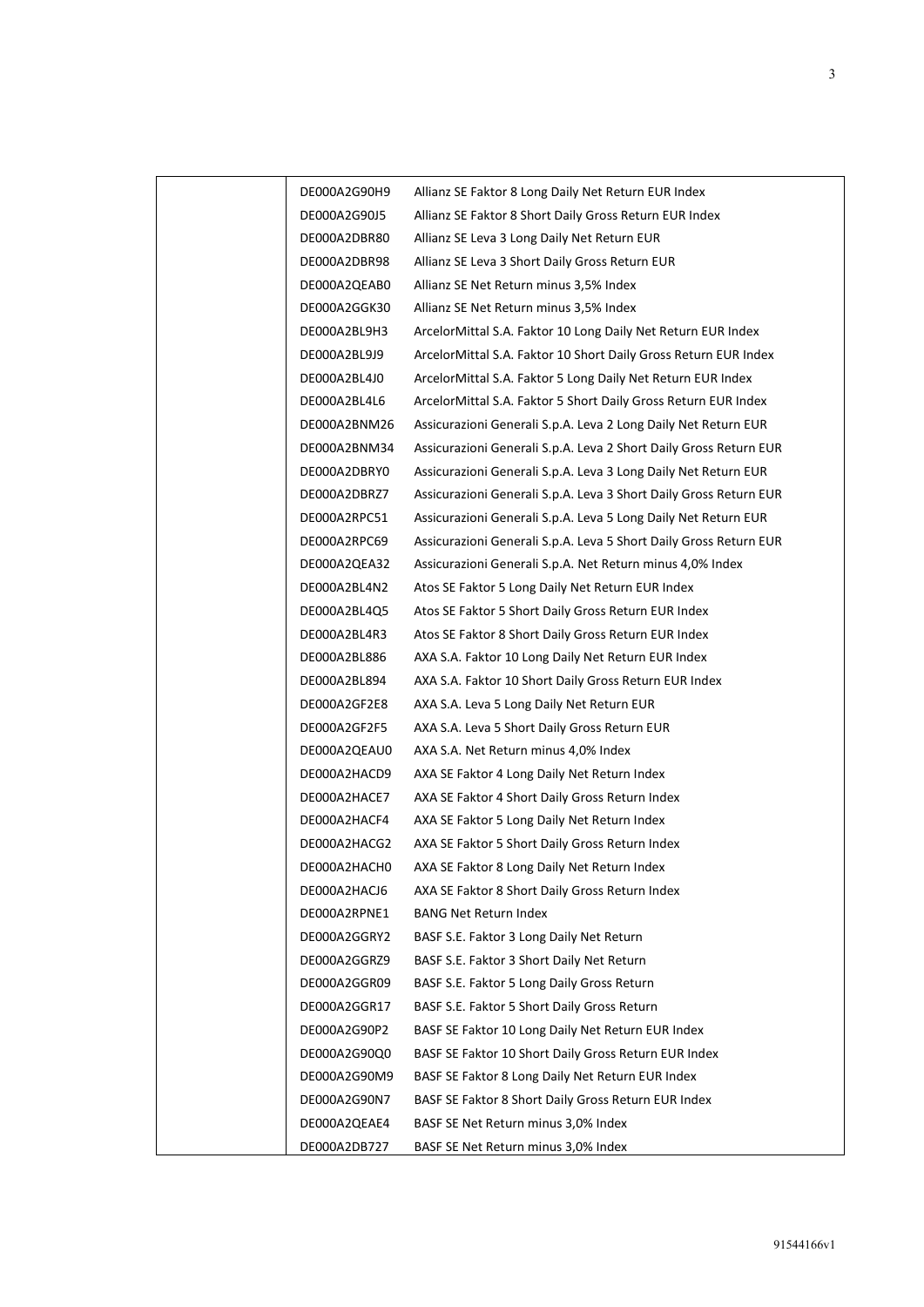| DE000A2G90H9 | Allianz SE Faktor 8 Long Daily Net Return EUR Index               |
|--------------|-------------------------------------------------------------------|
| DE000A2G90J5 | Allianz SE Faktor 8 Short Daily Gross Return EUR Index            |
| DE000A2DBR80 | Allianz SE Leva 3 Long Daily Net Return EUR                       |
| DE000A2DBR98 | Allianz SE Leva 3 Short Daily Gross Return EUR                    |
| DE000A2QEAB0 | Allianz SE Net Return minus 3,5% Index                            |
| DE000A2GGK30 | Allianz SE Net Return minus 3,5% Index                            |
| DE000A2BL9H3 | ArcelorMittal S.A. Faktor 10 Long Daily Net Return EUR Index      |
| DE000A2BL9J9 | ArcelorMittal S.A. Faktor 10 Short Daily Gross Return EUR Index   |
| DE000A2BL4J0 | ArcelorMittal S.A. Faktor 5 Long Daily Net Return EUR Index       |
| DE000A2BL4L6 | ArcelorMittal S.A. Faktor 5 Short Daily Gross Return EUR Index    |
| DE000A2BNM26 | Assicurazioni Generali S.p.A. Leva 2 Long Daily Net Return EUR    |
| DE000A2BNM34 | Assicurazioni Generali S.p.A. Leva 2 Short Daily Gross Return EUR |
| DE000A2DBRY0 | Assicurazioni Generali S.p.A. Leva 3 Long Daily Net Return EUR    |
| DE000A2DBRZ7 | Assicurazioni Generali S.p.A. Leva 3 Short Daily Gross Return EUR |
| DE000A2RPC51 | Assicurazioni Generali S.p.A. Leva 5 Long Daily Net Return EUR    |
| DE000A2RPC69 | Assicurazioni Generali S.p.A. Leva 5 Short Daily Gross Return EUR |
| DE000A2QEA32 | Assicurazioni Generali S.p.A. Net Return minus 4,0% Index         |
| DE000A2BL4N2 | Atos SE Faktor 5 Long Daily Net Return EUR Index                  |
| DE000A2BL4Q5 | Atos SE Faktor 5 Short Daily Gross Return EUR Index               |
| DE000A2BL4R3 | Atos SE Faktor 8 Short Daily Gross Return EUR Index               |
| DE000A2BL886 | AXA S.A. Faktor 10 Long Daily Net Return EUR Index                |
| DE000A2BL894 | AXA S.A. Faktor 10 Short Daily Gross Return EUR Index             |
| DE000A2GF2E8 | AXA S.A. Leva 5 Long Daily Net Return EUR                         |
| DE000A2GF2F5 | AXA S.A. Leva 5 Short Daily Gross Return EUR                      |
| DE000A2QEAU0 | AXA S.A. Net Return minus 4,0% Index                              |
| DE000A2HACD9 | AXA SE Faktor 4 Long Daily Net Return Index                       |
| DE000A2HACE7 | AXA SE Faktor 4 Short Daily Gross Return Index                    |
| DE000A2HACF4 | AXA SE Faktor 5 Long Daily Net Return Index                       |
| DE000A2HACG2 | AXA SE Faktor 5 Short Daily Gross Return Index                    |
| DE000A2HACH0 | AXA SE Faktor 8 Long Daily Net Return Index                       |
| DE000A2HACJ6 | AXA SE Faktor 8 Short Daily Gross Return Index                    |
| DE000A2RPNE1 | <b>BANG Net Return Index</b>                                      |
| DE000A2GGRY2 | BASF S.E. Faktor 3 Long Daily Net Return                          |
| DE000A2GGRZ9 | BASF S.E. Faktor 3 Short Daily Net Return                         |
| DE000A2GGR09 | BASF S.E. Faktor 5 Long Daily Gross Return                        |
| DE000A2GGR17 | BASF S.E. Faktor 5 Short Daily Gross Return                       |
| DE000A2G90P2 | BASF SE Faktor 10 Long Daily Net Return EUR Index                 |
| DE000A2G90Q0 | BASF SE Faktor 10 Short Daily Gross Return EUR Index              |
| DE000A2G90M9 | BASF SE Faktor 8 Long Daily Net Return EUR Index                  |
| DE000A2G90N7 | BASF SE Faktor 8 Short Daily Gross Return EUR Index               |
| DE000A2QEAE4 | BASF SE Net Return minus 3,0% Index                               |
| DE000A2DB727 | BASF SE Net Return minus 3,0% Index                               |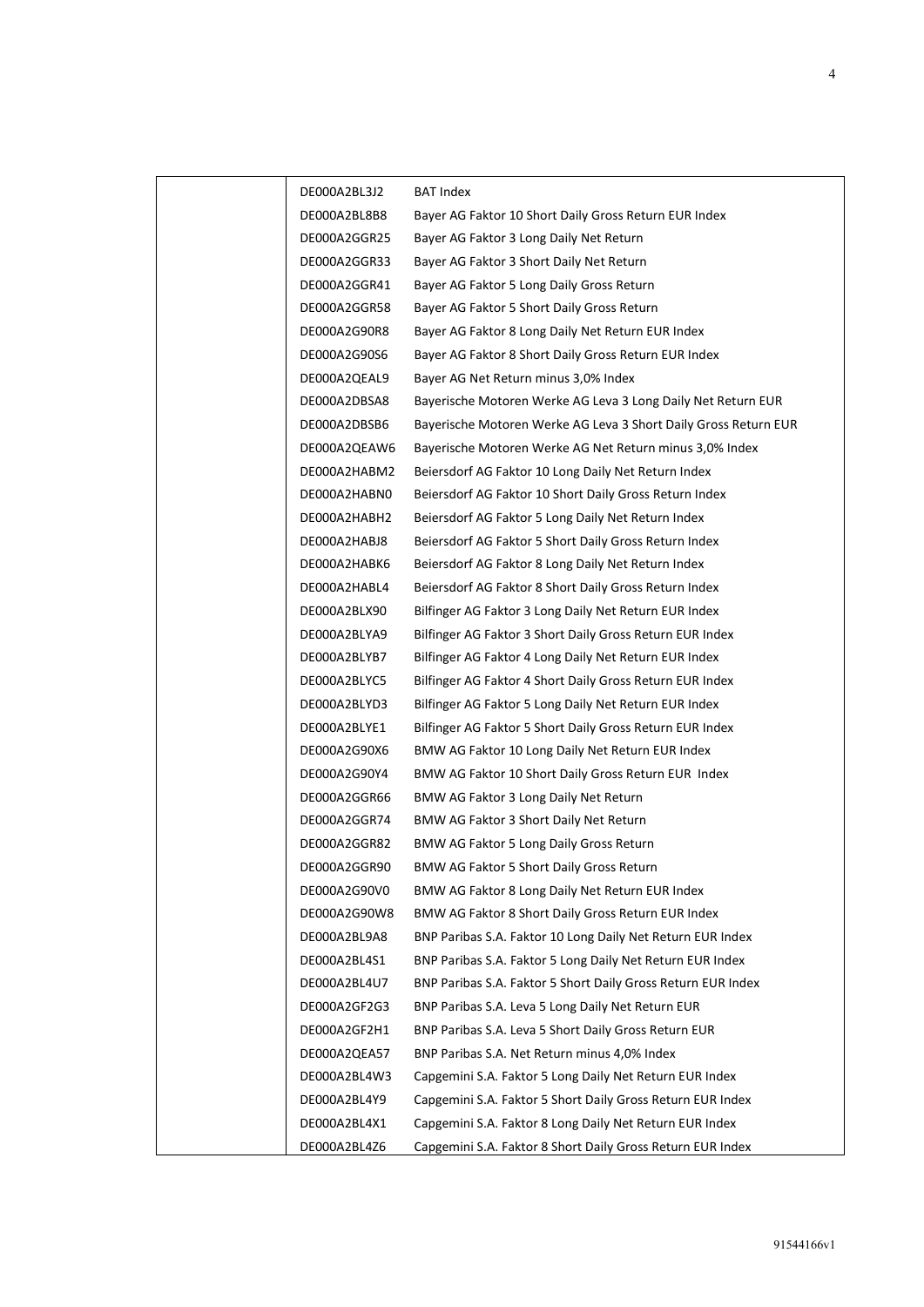| DE000A2BL3J2 | BAT Index                                                       |
|--------------|-----------------------------------------------------------------|
| DE000A2BL8B8 | Bayer AG Faktor 10 Short Daily Gross Return EUR Index           |
| DE000A2GGR25 | Bayer AG Faktor 3 Long Daily Net Return                         |
| DE000A2GGR33 | Bayer AG Faktor 3 Short Daily Net Return                        |
| DE000A2GGR41 | Bayer AG Faktor 5 Long Daily Gross Return                       |
| DE000A2GGR58 | Bayer AG Faktor 5 Short Daily Gross Return                      |
| DE000A2G90R8 | Bayer AG Faktor 8 Long Daily Net Return EUR Index               |
| DE000A2G90S6 | Bayer AG Faktor 8 Short Daily Gross Return EUR Index            |
| DE000A2QEAL9 | Bayer AG Net Return minus 3,0% Index                            |
| DE000A2DBSA8 | Bayerische Motoren Werke AG Leva 3 Long Daily Net Return EUR    |
| DE000A2DBSB6 | Bayerische Motoren Werke AG Leva 3 Short Daily Gross Return EUR |
| DE000A2QEAW6 | Bayerische Motoren Werke AG Net Return minus 3,0% Index         |
| DE000A2HABM2 | Beiersdorf AG Faktor 10 Long Daily Net Return Index             |
| DE000A2HABN0 | Beiersdorf AG Faktor 10 Short Daily Gross Return Index          |
| DE000A2HABH2 | Beiersdorf AG Faktor 5 Long Daily Net Return Index              |
| DE000A2HABJ8 | Beiersdorf AG Faktor 5 Short Daily Gross Return Index           |
| DE000A2HABK6 | Beiersdorf AG Faktor 8 Long Daily Net Return Index              |
| DE000A2HABL4 | Beiersdorf AG Faktor 8 Short Daily Gross Return Index           |
| DE000A2BLX90 | Bilfinger AG Faktor 3 Long Daily Net Return EUR Index           |
| DE000A2BLYA9 | Bilfinger AG Faktor 3 Short Daily Gross Return EUR Index        |
| DE000A2BLYB7 | Bilfinger AG Faktor 4 Long Daily Net Return EUR Index           |
| DE000A2BLYC5 | Bilfinger AG Faktor 4 Short Daily Gross Return EUR Index        |
| DE000A2BLYD3 | Bilfinger AG Faktor 5 Long Daily Net Return EUR Index           |
| DE000A2BLYE1 | Bilfinger AG Faktor 5 Short Daily Gross Return EUR Index        |
| DE000A2G90X6 | BMW AG Faktor 10 Long Daily Net Return EUR Index                |
| DE000A2G90Y4 | BMW AG Faktor 10 Short Daily Gross Return EUR Index             |
| DE000A2GGR66 | BMW AG Faktor 3 Long Daily Net Return                           |
| DE000A2GGR74 | BMW AG Faktor 3 Short Daily Net Return                          |
| DE000A2GGR82 | BMW AG Faktor 5 Long Daily Gross Return                         |
| DE000A2GGR90 | <b>BMW AG Faktor 5 Short Daily Gross Return</b>                 |
| DE000A2G90V0 | BMW AG Faktor 8 Long Daily Net Return EUR Index                 |
| DE000A2G90W8 | BMW AG Faktor 8 Short Daily Gross Return EUR Index              |
| DE000A2BL9A8 | BNP Paribas S.A. Faktor 10 Long Daily Net Return EUR Index      |
| DE000A2BL4S1 | BNP Paribas S.A. Faktor 5 Long Daily Net Return EUR Index       |
| DE000A2BL4U7 | BNP Paribas S.A. Faktor 5 Short Daily Gross Return EUR Index    |
| DE000A2GF2G3 | BNP Paribas S.A. Leva 5 Long Daily Net Return EUR               |
| DE000A2GF2H1 | BNP Paribas S.A. Leva 5 Short Daily Gross Return EUR            |
| DE000A2QEA57 | BNP Paribas S.A. Net Return minus 4,0% Index                    |
| DE000A2BL4W3 | Capgemini S.A. Faktor 5 Long Daily Net Return EUR Index         |
| DE000A2BL4Y9 | Capgemini S.A. Faktor 5 Short Daily Gross Return EUR Index      |
| DE000A2BL4X1 | Capgemini S.A. Faktor 8 Long Daily Net Return EUR Index         |
| DE000A2BL4Z6 | Capgemini S.A. Faktor 8 Short Daily Gross Return EUR Index      |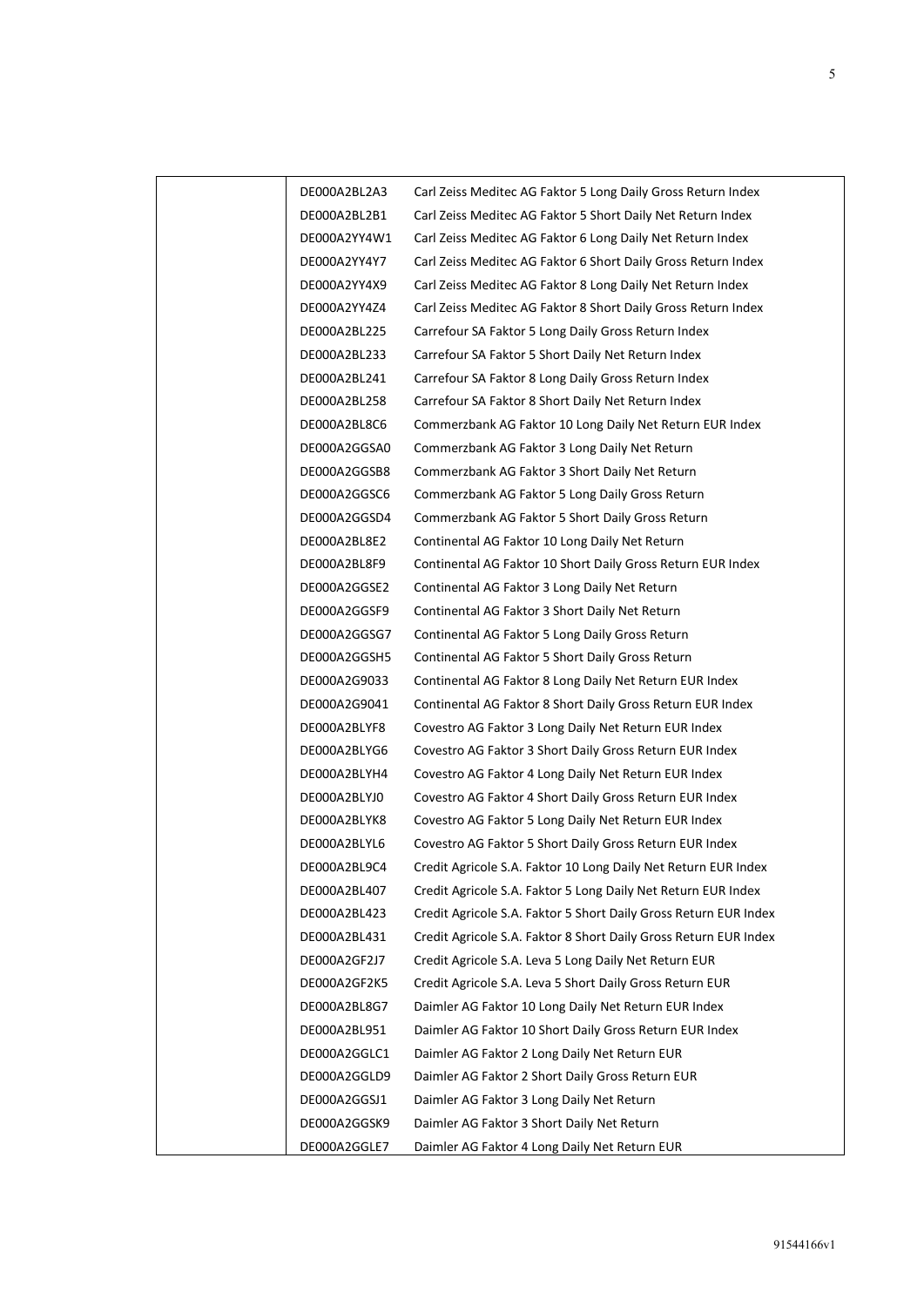| DE000A2BL2A3 | Carl Zeiss Meditec AG Faktor 5 Long Daily Gross Return Index     |
|--------------|------------------------------------------------------------------|
| DE000A2BL2B1 | Carl Zeiss Meditec AG Faktor 5 Short Daily Net Return Index      |
| DE000A2YY4W1 | Carl Zeiss Meditec AG Faktor 6 Long Daily Net Return Index       |
| DE000A2YY4Y7 | Carl Zeiss Meditec AG Faktor 6 Short Daily Gross Return Index    |
| DE000A2YY4X9 | Carl Zeiss Meditec AG Faktor 8 Long Daily Net Return Index       |
| DE000A2YY4Z4 | Carl Zeiss Meditec AG Faktor 8 Short Daily Gross Return Index    |
| DE000A2BL225 | Carrefour SA Faktor 5 Long Daily Gross Return Index              |
| DE000A2BL233 | Carrefour SA Faktor 5 Short Daily Net Return Index               |
| DE000A2BL241 | Carrefour SA Faktor 8 Long Daily Gross Return Index              |
| DE000A2BL258 | Carrefour SA Faktor 8 Short Daily Net Return Index               |
| DE000A2BL8C6 | Commerzbank AG Faktor 10 Long Daily Net Return EUR Index         |
| DE000A2GGSA0 | Commerzbank AG Faktor 3 Long Daily Net Return                    |
| DE000A2GGSB8 | Commerzbank AG Faktor 3 Short Daily Net Return                   |
| DE000A2GGSC6 | Commerzbank AG Faktor 5 Long Daily Gross Return                  |
| DE000A2GGSD4 | Commerzbank AG Faktor 5 Short Daily Gross Return                 |
| DE000A2BL8E2 | Continental AG Faktor 10 Long Daily Net Return                   |
| DE000A2BL8F9 | Continental AG Faktor 10 Short Daily Gross Return EUR Index      |
| DE000A2GGSE2 | Continental AG Faktor 3 Long Daily Net Return                    |
| DE000A2GGSF9 | Continental AG Faktor 3 Short Daily Net Return                   |
| DE000A2GGSG7 | Continental AG Faktor 5 Long Daily Gross Return                  |
| DE000A2GGSH5 | Continental AG Faktor 5 Short Daily Gross Return                 |
| DE000A2G9033 | Continental AG Faktor 8 Long Daily Net Return EUR Index          |
| DE000A2G9041 | Continental AG Faktor 8 Short Daily Gross Return EUR Index       |
| DE000A2BLYF8 | Covestro AG Faktor 3 Long Daily Net Return EUR Index             |
| DE000A2BLYG6 | Covestro AG Faktor 3 Short Daily Gross Return EUR Index          |
| DE000A2BLYH4 | Covestro AG Faktor 4 Long Daily Net Return EUR Index             |
| DE000A2BLYJ0 | Covestro AG Faktor 4 Short Daily Gross Return EUR Index          |
| DE000A2BLYK8 | Covestro AG Faktor 5 Long Daily Net Return EUR Index             |
| DE000A2BLYL6 | Covestro AG Faktor 5 Short Daily Gross Return EUR Index          |
| DE000A2BL9C4 | Credit Agricole S.A. Faktor 10 Long Daily Net Return EUR Index   |
| DE000A2BL407 | Credit Agricole S.A. Faktor 5 Long Daily Net Return EUR Index    |
| DE000A2BL423 | Credit Agricole S.A. Faktor 5 Short Daily Gross Return EUR Index |
| DE000A2BL431 | Credit Agricole S.A. Faktor 8 Short Daily Gross Return EUR Index |
| DE000A2GF2J7 | Credit Agricole S.A. Leva 5 Long Daily Net Return EUR            |
| DE000A2GF2K5 | Credit Agricole S.A. Leva 5 Short Daily Gross Return EUR         |
| DE000A2BL8G7 | Daimler AG Faktor 10 Long Daily Net Return EUR Index             |
| DE000A2BL951 | Daimler AG Faktor 10 Short Daily Gross Return EUR Index          |
| DE000A2GGLC1 | Daimler AG Faktor 2 Long Daily Net Return EUR                    |
| DE000A2GGLD9 | Daimler AG Faktor 2 Short Daily Gross Return EUR                 |
| DE000A2GGSJ1 | Daimler AG Faktor 3 Long Daily Net Return                        |
| DE000A2GGSK9 | Daimler AG Faktor 3 Short Daily Net Return                       |
| DE000A2GGLE7 | Daimler AG Faktor 4 Long Daily Net Return EUR                    |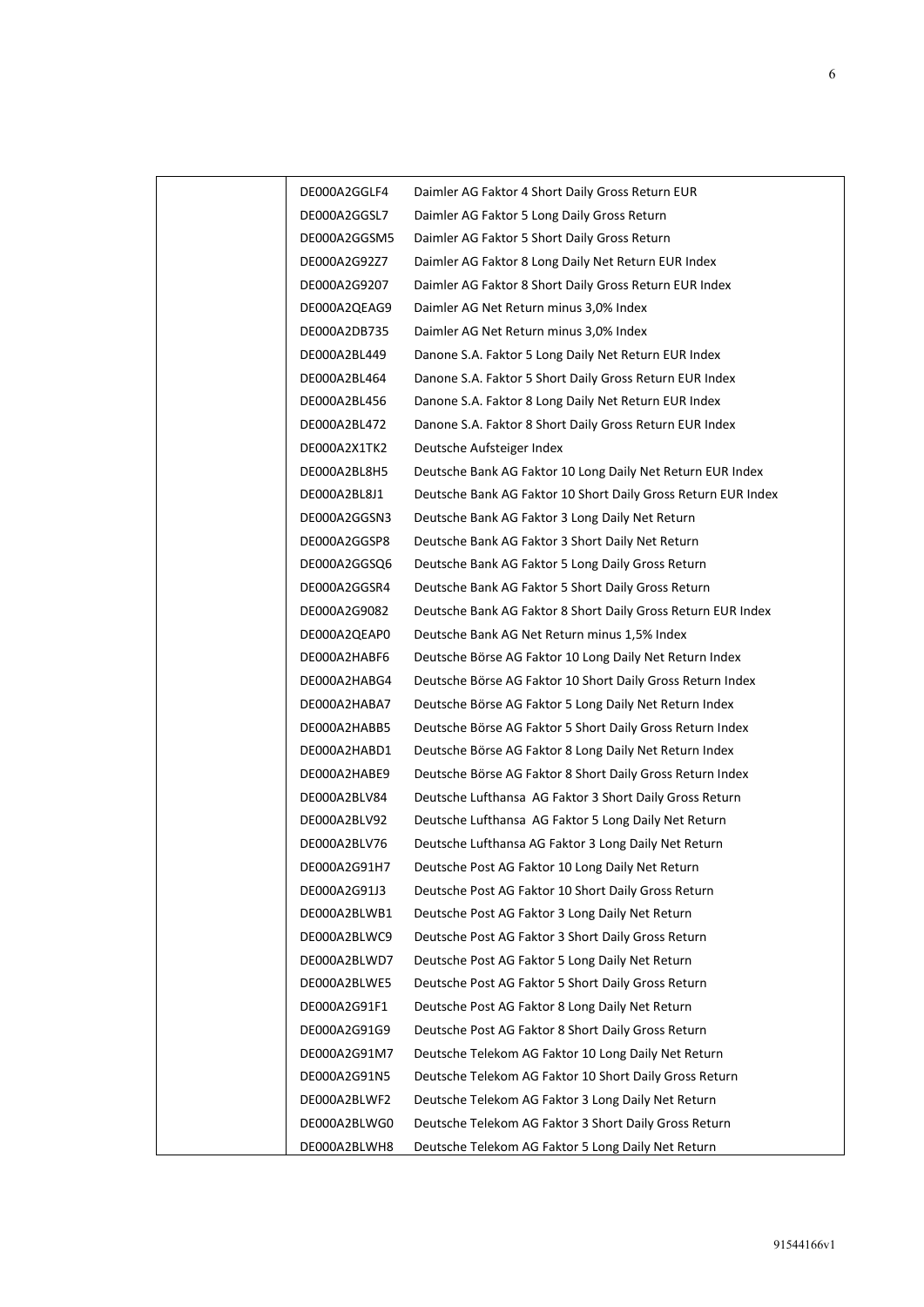| DE000A2GGLF4 | Daimler AG Faktor 4 Short Daily Gross Return EUR              |
|--------------|---------------------------------------------------------------|
| DE000A2GGSL7 | Daimler AG Faktor 5 Long Daily Gross Return                   |
| DE000A2GGSM5 | Daimler AG Faktor 5 Short Daily Gross Return                  |
| DE000A2G92Z7 | Daimler AG Faktor 8 Long Daily Net Return EUR Index           |
| DE000A2G9207 | Daimler AG Faktor 8 Short Daily Gross Return EUR Index        |
| DE000A2QEAG9 | Daimler AG Net Return minus 3,0% Index                        |
| DE000A2DB735 | Daimler AG Net Return minus 3,0% Index                        |
| DE000A2BL449 | Danone S.A. Faktor 5 Long Daily Net Return EUR Index          |
| DE000A2BL464 | Danone S.A. Faktor 5 Short Daily Gross Return EUR Index       |
| DE000A2BL456 | Danone S.A. Faktor 8 Long Daily Net Return EUR Index          |
| DE000A2BL472 | Danone S.A. Faktor 8 Short Daily Gross Return EUR Index       |
| DE000A2X1TK2 | Deutsche Aufsteiger Index                                     |
| DE000A2BL8H5 | Deutsche Bank AG Faktor 10 Long Daily Net Return EUR Index    |
| DE000A2BL8J1 | Deutsche Bank AG Faktor 10 Short Daily Gross Return EUR Index |
| DE000A2GGSN3 | Deutsche Bank AG Faktor 3 Long Daily Net Return               |
| DE000A2GGSP8 | Deutsche Bank AG Faktor 3 Short Daily Net Return              |
| DE000A2GGSQ6 | Deutsche Bank AG Faktor 5 Long Daily Gross Return             |
| DE000A2GGSR4 | Deutsche Bank AG Faktor 5 Short Daily Gross Return            |
| DE000A2G9082 | Deutsche Bank AG Faktor 8 Short Daily Gross Return EUR Index  |
| DE000A2QEAP0 | Deutsche Bank AG Net Return minus 1,5% Index                  |
| DE000A2HABF6 | Deutsche Börse AG Faktor 10 Long Daily Net Return Index       |
| DE000A2HABG4 | Deutsche Börse AG Faktor 10 Short Daily Gross Return Index    |
| DE000A2HABA7 | Deutsche Börse AG Faktor 5 Long Daily Net Return Index        |
| DE000A2HABB5 | Deutsche Börse AG Faktor 5 Short Daily Gross Return Index     |
| DE000A2HABD1 | Deutsche Börse AG Faktor 8 Long Daily Net Return Index        |
| DE000A2HABE9 | Deutsche Börse AG Faktor 8 Short Daily Gross Return Index     |
| DE000A2BLV84 | Deutsche Lufthansa AG Faktor 3 Short Daily Gross Return       |
| DE000A2BLV92 | Deutsche Lufthansa AG Faktor 5 Long Daily Net Return          |
| DE000A2BLV76 | Deutsche Lufthansa AG Faktor 3 Long Daily Net Return          |
| DE000A2G91H7 | Deutsche Post AG Faktor 10 Long Daily Net Return              |
| DE000A2G91J3 | Deutsche Post AG Faktor 10 Short Daily Gross Return           |
| DE000A2BLWB1 | Deutsche Post AG Faktor 3 Long Daily Net Return               |
| DE000A2BLWC9 | Deutsche Post AG Faktor 3 Short Daily Gross Return            |
| DE000A2BLWD7 | Deutsche Post AG Faktor 5 Long Daily Net Return               |
| DE000A2BLWE5 | Deutsche Post AG Faktor 5 Short Daily Gross Return            |
| DE000A2G91F1 | Deutsche Post AG Faktor 8 Long Daily Net Return               |
| DE000A2G91G9 | Deutsche Post AG Faktor 8 Short Daily Gross Return            |
| DE000A2G91M7 | Deutsche Telekom AG Faktor 10 Long Daily Net Return           |
| DE000A2G91N5 | Deutsche Telekom AG Faktor 10 Short Daily Gross Return        |
| DE000A2BLWF2 | Deutsche Telekom AG Faktor 3 Long Daily Net Return            |
| DE000A2BLWG0 | Deutsche Telekom AG Faktor 3 Short Daily Gross Return         |
| DE000A2BLWH8 | Deutsche Telekom AG Faktor 5 Long Daily Net Return            |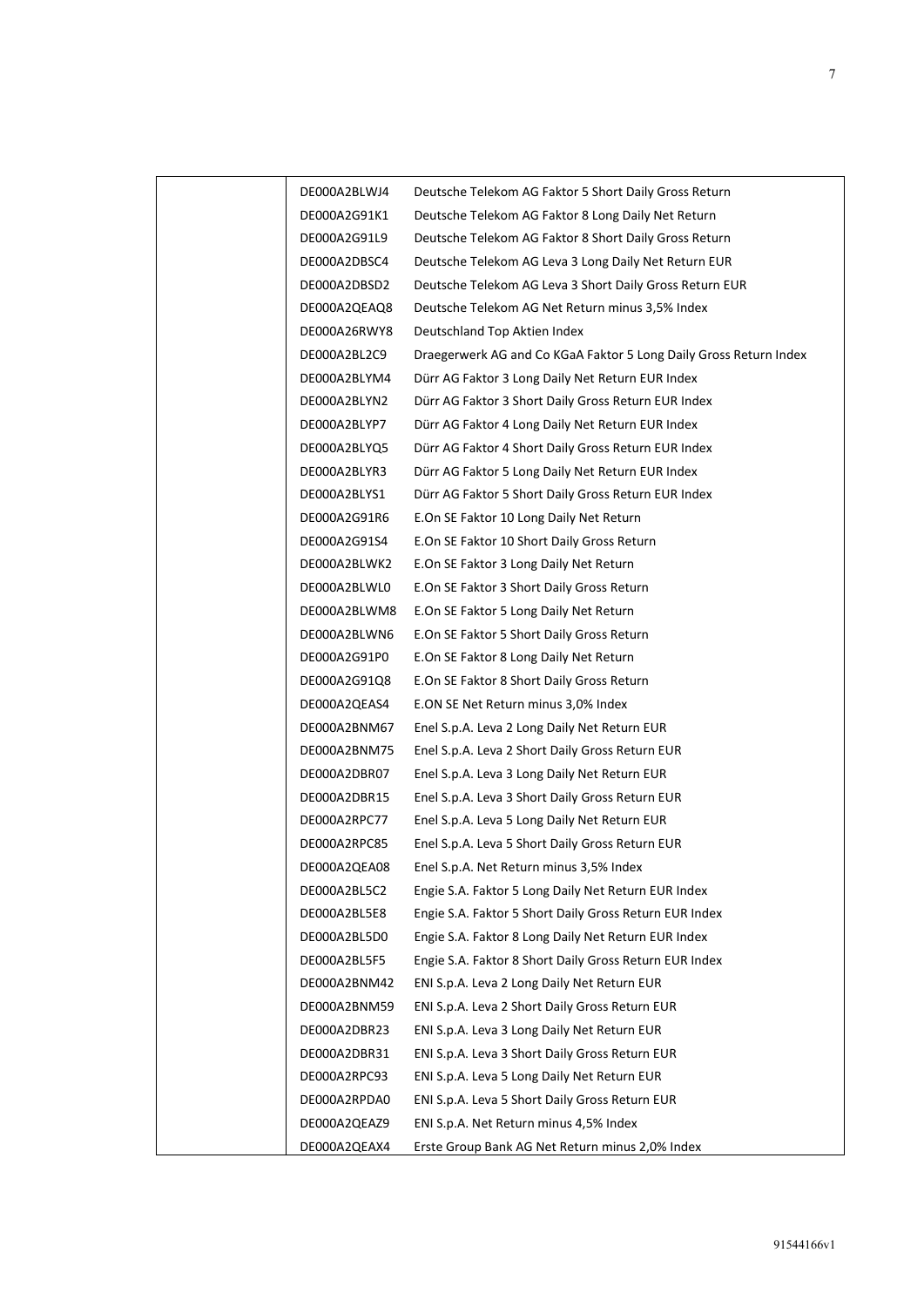| DE000A2BLWJ4 | Deutsche Telekom AG Faktor 5 Short Daily Gross Return             |
|--------------|-------------------------------------------------------------------|
| DE000A2G91K1 | Deutsche Telekom AG Faktor 8 Long Daily Net Return                |
| DE000A2G91L9 | Deutsche Telekom AG Faktor 8 Short Daily Gross Return             |
| DE000A2DBSC4 | Deutsche Telekom AG Leva 3 Long Daily Net Return EUR              |
| DE000A2DBSD2 | Deutsche Telekom AG Leva 3 Short Daily Gross Return EUR           |
| DE000A2QEAQ8 | Deutsche Telekom AG Net Return minus 3,5% Index                   |
| DE000A26RWY8 | Deutschland Top Aktien Index                                      |
| DE000A2BL2C9 | Draegerwerk AG and Co KGaA Faktor 5 Long Daily Gross Return Index |
| DE000A2BLYM4 | Dürr AG Faktor 3 Long Daily Net Return EUR Index                  |
| DE000A2BLYN2 | Dürr AG Faktor 3 Short Daily Gross Return EUR Index               |
| DE000A2BLYP7 | Dürr AG Faktor 4 Long Daily Net Return EUR Index                  |
| DE000A2BLYQ5 | Dürr AG Faktor 4 Short Daily Gross Return EUR Index               |
| DE000A2BLYR3 | Dürr AG Faktor 5 Long Daily Net Return EUR Index                  |
| DE000A2BLYS1 | Dürr AG Faktor 5 Short Daily Gross Return EUR Index               |
| DE000A2G91R6 | E.On SE Faktor 10 Long Daily Net Return                           |
| DE000A2G91S4 | E.On SE Faktor 10 Short Daily Gross Return                        |
| DE000A2BLWK2 | E.On SE Faktor 3 Long Daily Net Return                            |
| DE000A2BLWL0 | E.On SE Faktor 3 Short Daily Gross Return                         |
| DE000A2BLWM8 | E.On SE Faktor 5 Long Daily Net Return                            |
| DE000A2BLWN6 | E.On SE Faktor 5 Short Daily Gross Return                         |
| DE000A2G91P0 | E.On SE Faktor 8 Long Daily Net Return                            |
| DE000A2G91Q8 | E.On SE Faktor 8 Short Daily Gross Return                         |
| DE000A2QEAS4 | E.ON SE Net Return minus 3,0% Index                               |
| DE000A2BNM67 | Enel S.p.A. Leva 2 Long Daily Net Return EUR                      |
| DE000A2BNM75 | Enel S.p.A. Leva 2 Short Daily Gross Return EUR                   |
| DE000A2DBR07 | Enel S.p.A. Leva 3 Long Daily Net Return EUR                      |
| DE000A2DBR15 | Enel S.p.A. Leva 3 Short Daily Gross Return EUR                   |
| DE000A2RPC77 | Enel S.p.A. Leva 5 Long Daily Net Return EUR                      |
| DE000A2RPC85 | Enel S.p.A. Leva 5 Short Daily Gross Return EUR                   |
| DE000A2QEA08 | Enel S.p.A. Net Return minus 3,5% Index                           |
| DE000A2BL5C2 | Engie S.A. Faktor 5 Long Daily Net Return EUR Index               |
| DE000A2BL5E8 | Engie S.A. Faktor 5 Short Daily Gross Return EUR Index            |
| DE000A2BL5D0 | Engie S.A. Faktor 8 Long Daily Net Return EUR Index               |
| DE000A2BL5F5 | Engie S.A. Faktor 8 Short Daily Gross Return EUR Index            |
| DE000A2BNM42 | ENI S.p.A. Leva 2 Long Daily Net Return EUR                       |
| DE000A2BNM59 | ENI S.p.A. Leva 2 Short Daily Gross Return EUR                    |
| DE000A2DBR23 | ENI S.p.A. Leva 3 Long Daily Net Return EUR                       |
| DE000A2DBR31 | ENI S.p.A. Leva 3 Short Daily Gross Return EUR                    |
| DE000A2RPC93 | ENI S.p.A. Leva 5 Long Daily Net Return EUR                       |
| DE000A2RPDA0 | ENI S.p.A. Leva 5 Short Daily Gross Return EUR                    |
| DE000A2QEAZ9 | ENI S.p.A. Net Return minus 4,5% Index                            |
| DE000A2QEAX4 | Erste Group Bank AG Net Return minus 2,0% Index                   |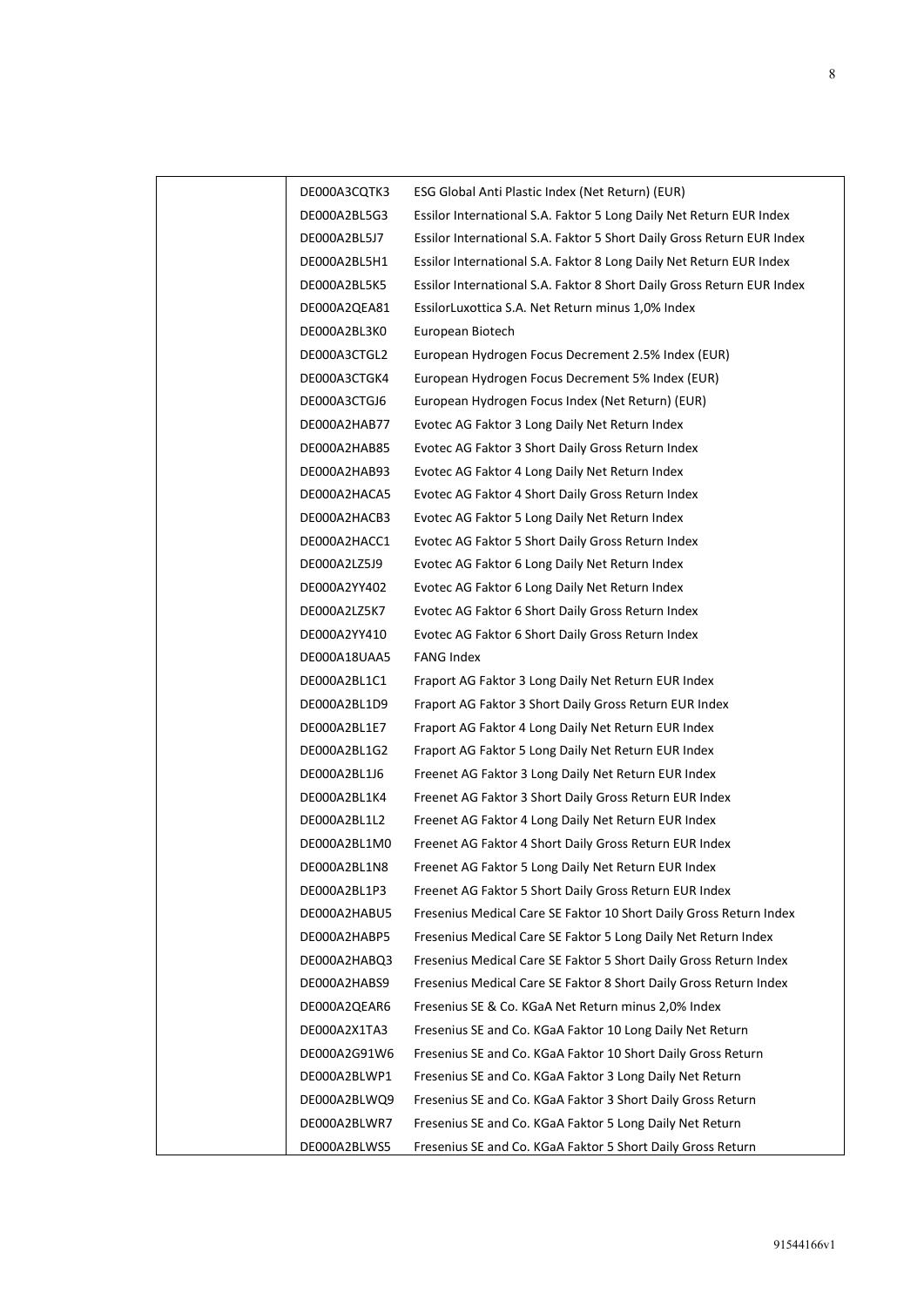| DE000A3CQTK3 | ESG Global Anti Plastic Index (Net Return) (EUR)                       |
|--------------|------------------------------------------------------------------------|
| DE000A2BL5G3 | Essilor International S.A. Faktor 5 Long Daily Net Return EUR Index    |
| DE000A2BL5J7 | Essilor International S.A. Faktor 5 Short Daily Gross Return EUR Index |
| DE000A2BL5H1 | Essilor International S.A. Faktor 8 Long Daily Net Return EUR Index    |
| DE000A2BL5K5 | Essilor International S.A. Faktor 8 Short Daily Gross Return EUR Index |
| DE000A2QEA81 | EssilorLuxottica S.A. Net Return minus 1,0% Index                      |
| DE000A2BL3K0 | European Biotech                                                       |
| DE000A3CTGL2 | European Hydrogen Focus Decrement 2.5% Index (EUR)                     |
| DE000A3CTGK4 | European Hydrogen Focus Decrement 5% Index (EUR)                       |
| DE000A3CTGJ6 | European Hydrogen Focus Index (Net Return) (EUR)                       |
| DE000A2HAB77 | Evotec AG Faktor 3 Long Daily Net Return Index                         |
| DE000A2HAB85 | Evotec AG Faktor 3 Short Daily Gross Return Index                      |
| DE000A2HAB93 | Evotec AG Faktor 4 Long Daily Net Return Index                         |
| DE000A2HACA5 | Evotec AG Faktor 4 Short Daily Gross Return Index                      |
| DE000A2HACB3 | Evotec AG Faktor 5 Long Daily Net Return Index                         |
| DE000A2HACC1 | Evotec AG Faktor 5 Short Daily Gross Return Index                      |
| DE000A2LZ5J9 | Evotec AG Faktor 6 Long Daily Net Return Index                         |
| DE000A2YY402 | Evotec AG Faktor 6 Long Daily Net Return Index                         |
| DE000A2LZ5K7 | Evotec AG Faktor 6 Short Daily Gross Return Index                      |
| DE000A2YY410 | Evotec AG Faktor 6 Short Daily Gross Return Index                      |
| DE000A18UAA5 | FANG Index                                                             |
| DE000A2BL1C1 | Fraport AG Faktor 3 Long Daily Net Return EUR Index                    |
| DE000A2BL1D9 | Fraport AG Faktor 3 Short Daily Gross Return EUR Index                 |
| DE000A2BL1E7 | Fraport AG Faktor 4 Long Daily Net Return EUR Index                    |
| DE000A2BL1G2 | Fraport AG Faktor 5 Long Daily Net Return EUR Index                    |
| DE000A2BL1J6 | Freenet AG Faktor 3 Long Daily Net Return EUR Index                    |
| DE000A2BL1K4 | Freenet AG Faktor 3 Short Daily Gross Return EUR Index                 |
| DE000A2BL1L2 | Freenet AG Faktor 4 Long Daily Net Return EUR Index                    |
| DE000A2BL1M0 | Freenet AG Faktor 4 Short Daily Gross Return EUR Index                 |
| DE000A2BL1N8 | Freenet AG Faktor 5 Long Daily Net Return EUR Index                    |
| DE000A2BL1P3 | Freenet AG Faktor 5 Short Daily Gross Return EUR Index                 |
| DE000A2HABU5 | Fresenius Medical Care SE Faktor 10 Short Daily Gross Return Index     |
| DE000A2HABP5 | Fresenius Medical Care SE Faktor 5 Long Daily Net Return Index         |
| DE000A2HABQ3 | Fresenius Medical Care SE Faktor 5 Short Daily Gross Return Index      |
| DE000A2HABS9 | Fresenius Medical Care SE Faktor 8 Short Daily Gross Return Index      |
| DE000A2QEAR6 | Fresenius SE & Co. KGaA Net Return minus 2,0% Index                    |
| DE000A2X1TA3 | Fresenius SE and Co. KGaA Faktor 10 Long Daily Net Return              |
| DE000A2G91W6 | Fresenius SE and Co. KGaA Faktor 10 Short Daily Gross Return           |
| DE000A2BLWP1 | Fresenius SE and Co. KGaA Faktor 3 Long Daily Net Return               |
| DE000A2BLWQ9 | Fresenius SE and Co. KGaA Faktor 3 Short Daily Gross Return            |
| DE000A2BLWR7 | Fresenius SE and Co. KGaA Faktor 5 Long Daily Net Return               |
| DE000A2BLWS5 | Fresenius SE and Co. KGaA Faktor 5 Short Daily Gross Return            |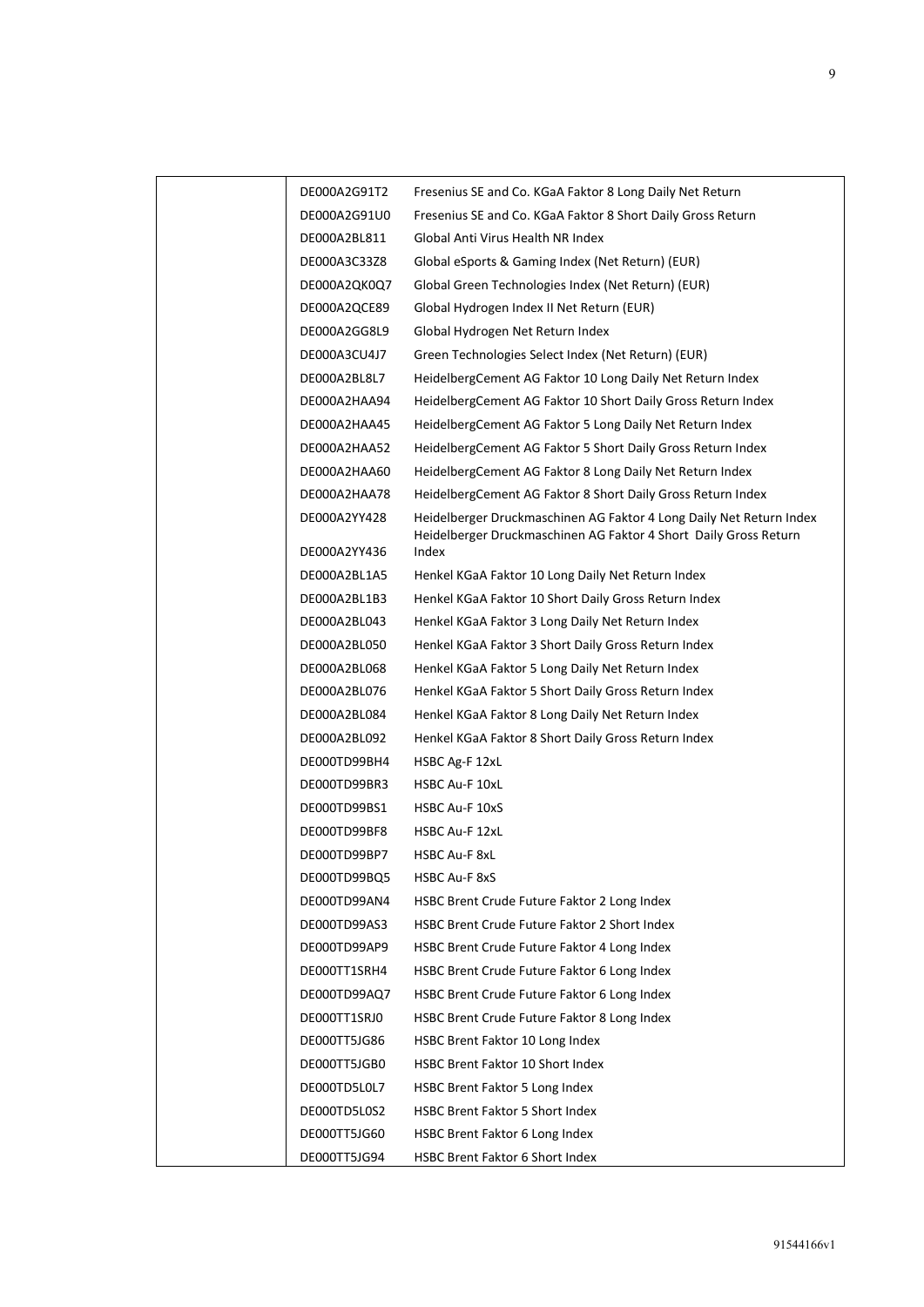| DE000A2G91T2 | Fresenius SE and Co. KGaA Faktor 8 Long Daily Net Return                                                                                |
|--------------|-----------------------------------------------------------------------------------------------------------------------------------------|
| DE000A2G91U0 | Fresenius SE and Co. KGaA Faktor 8 Short Daily Gross Return                                                                             |
| DE000A2BL811 | Global Anti Virus Health NR Index                                                                                                       |
| DE000A3C33Z8 | Global eSports & Gaming Index (Net Return) (EUR)                                                                                        |
| DE000A2QK0Q7 | Global Green Technologies Index (Net Return) (EUR)                                                                                      |
| DE000A2QCE89 | Global Hydrogen Index II Net Return (EUR)                                                                                               |
| DE000A2GG8L9 | Global Hydrogen Net Return Index                                                                                                        |
| DE000A3CU4J7 | Green Technologies Select Index (Net Return) (EUR)                                                                                      |
| DE000A2BL8L7 | HeidelbergCement AG Faktor 10 Long Daily Net Return Index                                                                               |
| DE000A2HAA94 | HeidelbergCement AG Faktor 10 Short Daily Gross Return Index                                                                            |
| DE000A2HAA45 | HeidelbergCement AG Faktor 5 Long Daily Net Return Index                                                                                |
| DE000A2HAA52 | HeidelbergCement AG Faktor 5 Short Daily Gross Return Index                                                                             |
| DE000A2HAA60 | HeidelbergCement AG Faktor 8 Long Daily Net Return Index                                                                                |
| DE000A2HAA78 | HeidelbergCement AG Faktor 8 Short Daily Gross Return Index                                                                             |
| DE000A2YY428 | Heidelberger Druckmaschinen AG Faktor 4 Long Daily Net Return Index<br>Heidelberger Druckmaschinen AG Faktor 4 Short Daily Gross Return |
| DE000A2YY436 | Index                                                                                                                                   |
| DE000A2BL1A5 | Henkel KGaA Faktor 10 Long Daily Net Return Index                                                                                       |
| DE000A2BL1B3 | Henkel KGaA Faktor 10 Short Daily Gross Return Index                                                                                    |
| DE000A2BL043 | Henkel KGaA Faktor 3 Long Daily Net Return Index                                                                                        |
| DE000A2BL050 | Henkel KGaA Faktor 3 Short Daily Gross Return Index                                                                                     |
| DE000A2BL068 | Henkel KGaA Faktor 5 Long Daily Net Return Index                                                                                        |
| DE000A2BL076 | Henkel KGaA Faktor 5 Short Daily Gross Return Index                                                                                     |
| DE000A2BL084 | Henkel KGaA Faktor 8 Long Daily Net Return Index                                                                                        |
| DE000A2BL092 | Henkel KGaA Faktor 8 Short Daily Gross Return Index                                                                                     |
| DE000TD99BH4 | HSBC Ag-F 12xL                                                                                                                          |
| DE000TD99BR3 | <b>HSBC Au-F 10xL</b>                                                                                                                   |
| DE000TD99BS1 | <b>HSBC Au-F 10xS</b>                                                                                                                   |
| DE000TD99BF8 | HSBC Au-F 12xL                                                                                                                          |
| DE000TD99BP7 | <b>HSBC Au-F 8xL</b>                                                                                                                    |
| DE000TD99BQ5 | HSBC Au-F 8xS                                                                                                                           |
| DE000TD99AN4 | HSBC Brent Crude Future Faktor 2 Long Index                                                                                             |
| DE000TD99AS3 | HSBC Brent Crude Future Faktor 2 Short Index                                                                                            |
| DE000TD99AP9 | HSBC Brent Crude Future Faktor 4 Long Index                                                                                             |
| DE000TT1SRH4 | HSBC Brent Crude Future Faktor 6 Long Index                                                                                             |
| DE000TD99AQ7 | HSBC Brent Crude Future Faktor 6 Long Index                                                                                             |
| DE000TT1SRJ0 | HSBC Brent Crude Future Faktor 8 Long Index                                                                                             |
| DE000TT5JG86 | HSBC Brent Faktor 10 Long Index                                                                                                         |
| DE000TT5JGB0 | HSBC Brent Faktor 10 Short Index                                                                                                        |
| DE000TD5L0L7 | HSBC Brent Faktor 5 Long Index                                                                                                          |
| DE000TD5L0S2 | <b>HSBC Brent Faktor 5 Short Index</b>                                                                                                  |
| DE000TT5JG60 | HSBC Brent Faktor 6 Long Index                                                                                                          |
| DE000TT5JG94 | HSBC Brent Faktor 6 Short Index                                                                                                         |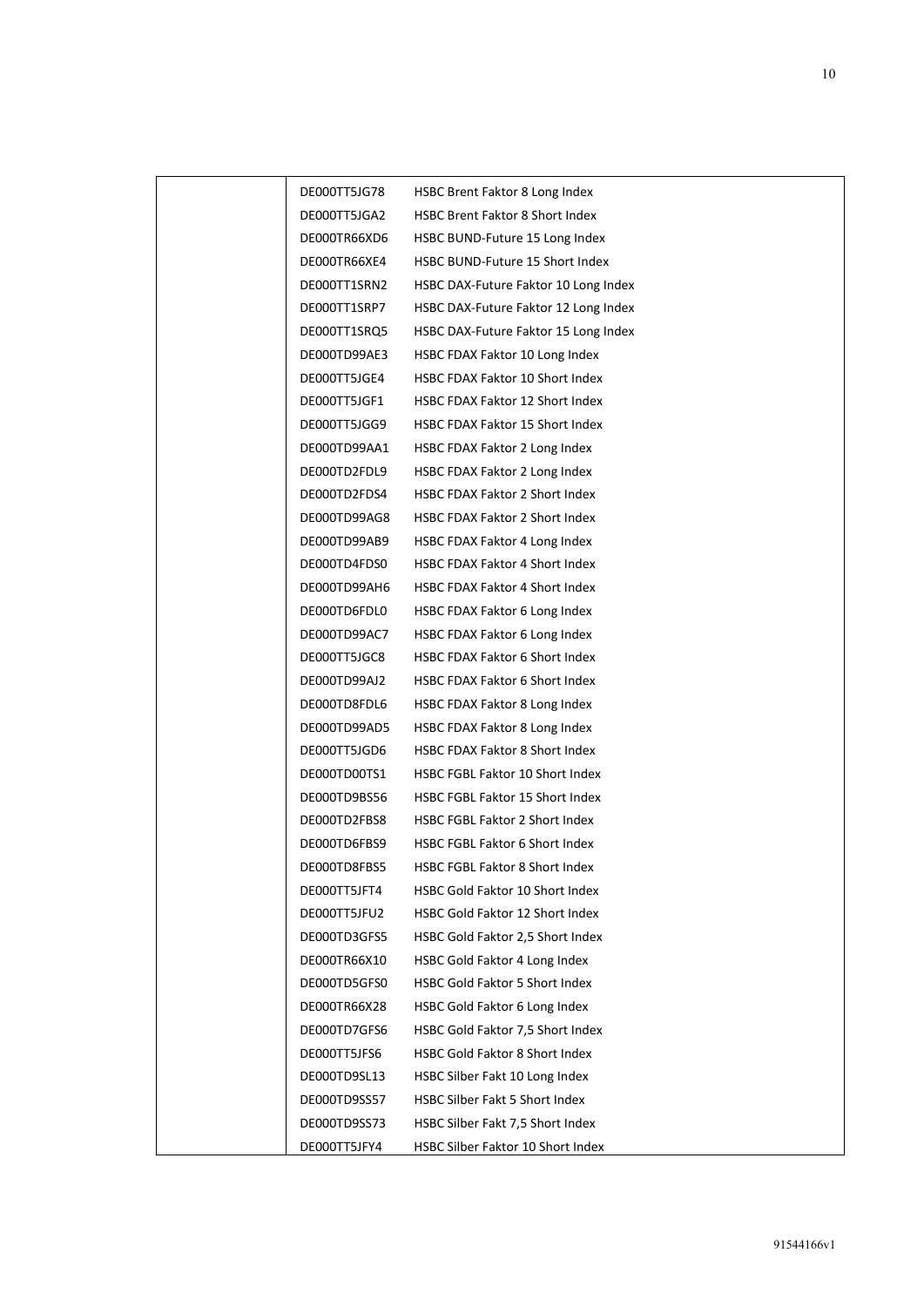| DE000TT5JG78 | HSBC Brent Faktor 8 Long Index         |
|--------------|----------------------------------------|
| DE000TT5JGA2 | <b>HSBC Brent Faktor 8 Short Index</b> |
| DE000TR66XD6 | HSBC BUND-Future 15 Long Index         |
| DE000TR66XE4 | HSBC BUND-Future 15 Short Index        |
| DE000TT1SRN2 | HSBC DAX-Future Faktor 10 Long Index   |
| DE000TT1SRP7 | HSBC DAX-Future Faktor 12 Long Index   |
| DE000TT1SRQ5 | HSBC DAX-Future Faktor 15 Long Index   |
| DE000TD99AE3 | HSBC FDAX Faktor 10 Long Index         |
| DE000TT5JGE4 | HSBC FDAX Faktor 10 Short Index        |
| DE000TT5JGF1 | HSBC FDAX Faktor 12 Short Index        |
| DE000TT5JGG9 | HSBC FDAX Faktor 15 Short Index        |
| DE000TD99AA1 | HSBC FDAX Faktor 2 Long Index          |
| DE000TD2FDL9 | HSBC FDAX Faktor 2 Long Index          |
| DE000TD2FDS4 | <b>HSBC FDAX Faktor 2 Short Index</b>  |
| DE000TD99AG8 | <b>HSBC FDAX Faktor 2 Short Index</b>  |
| DE000TD99AB9 | HSBC FDAX Faktor 4 Long Index          |
| DE000TD4FDS0 | <b>HSBC FDAX Faktor 4 Short Index</b>  |
| DE000TD99AH6 | <b>HSBC FDAX Faktor 4 Short Index</b>  |
| DE000TD6FDL0 | HSBC FDAX Faktor 6 Long Index          |
| DE000TD99AC7 | HSBC FDAX Faktor 6 Long Index          |
| DE000TT5JGC8 | <b>HSBC FDAX Faktor 6 Short Index</b>  |
| DE000TD99AJ2 | <b>HSBC FDAX Faktor 6 Short Index</b>  |
| DE000TD8FDL6 | HSBC FDAX Faktor 8 Long Index          |
| DE000TD99AD5 | HSBC FDAX Faktor 8 Long Index          |
| DE000TT5JGD6 | <b>HSBC FDAX Faktor 8 Short Index</b>  |
| DE000TD00TS1 | HSBC FGBL Faktor 10 Short Index        |
| DE000TD9BS56 | HSBC FGBL Faktor 15 Short Index        |
| DE000TD2FBS8 | <b>HSBC FGBL Faktor 2 Short Index</b>  |
| DE000TD6FBS9 | <b>HSBC FGBL Faktor 6 Short Index</b>  |
| DE000TD8FBS5 | HSBC FGBL Faktor 8 Short Index         |
| DE000TT5JFT4 | HSBC Gold Faktor 10 Short Index        |
| DE000TT5JFU2 | HSBC Gold Faktor 12 Short Index        |
| DE000TD3GFS5 | HSBC Gold Faktor 2,5 Short Index       |
| DE000TR66X10 | HSBC Gold Faktor 4 Long Index          |
| DE000TD5GFS0 | <b>HSBC Gold Faktor 5 Short Index</b>  |
| DE000TR66X28 | HSBC Gold Faktor 6 Long Index          |
| DE000TD7GFS6 | HSBC Gold Faktor 7,5 Short Index       |
| DE000TT5JFS6 | <b>HSBC Gold Faktor 8 Short Index</b>  |
| DE000TD9SL13 | HSBC Silber Fakt 10 Long Index         |
| DE000TD9SS57 | HSBC Silber Fakt 5 Short Index         |
| DE000TD9SS73 | HSBC Silber Fakt 7,5 Short Index       |
| DE000TT5JFY4 | HSBC Silber Faktor 10 Short Index      |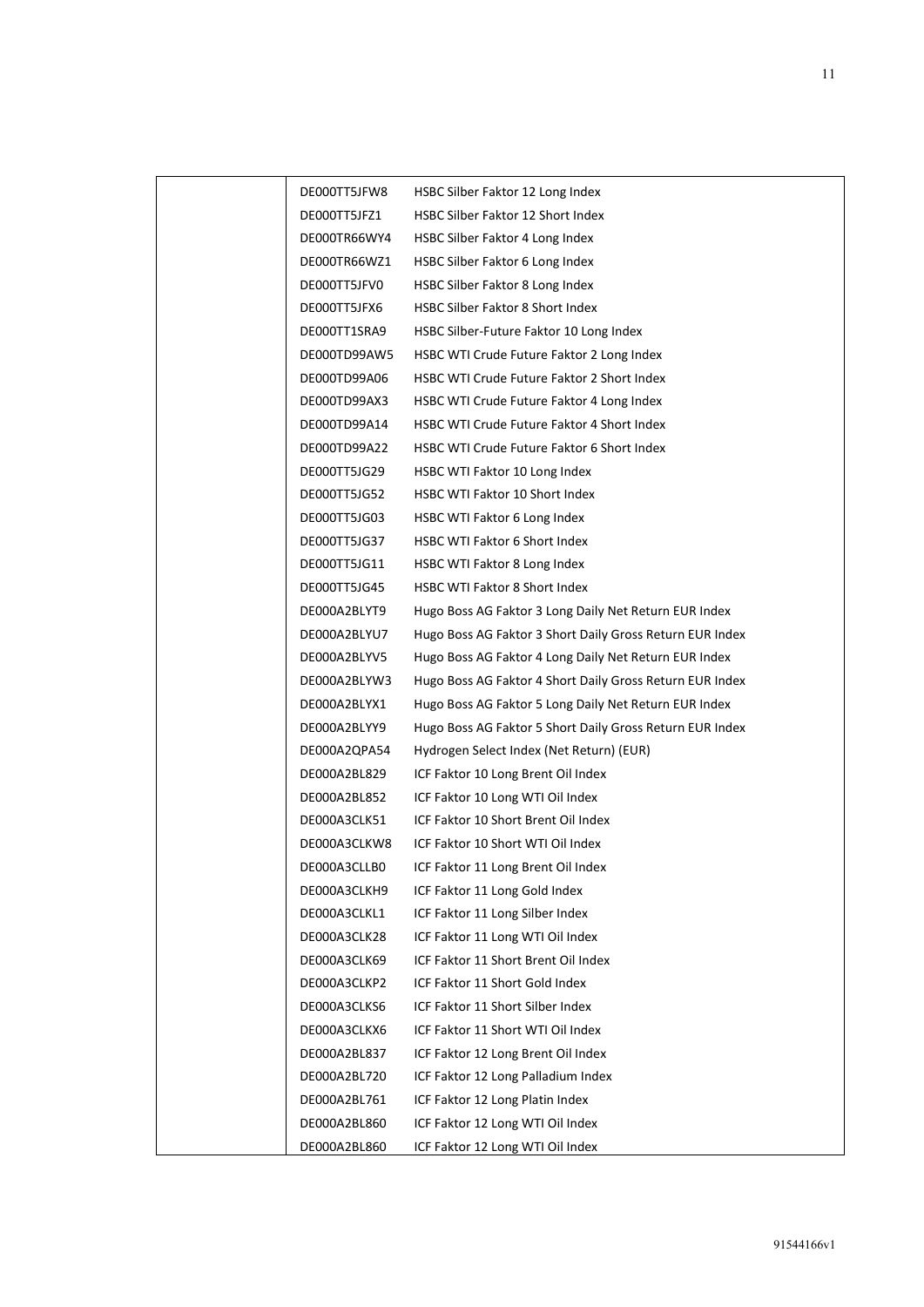| DE000TT5JFW8 | HSBC Silber Faktor 12 Long Index                         |
|--------------|----------------------------------------------------------|
| DE000TT5JFZ1 | HSBC Silber Faktor 12 Short Index                        |
| DE000TR66WY4 | HSBC Silber Faktor 4 Long Index                          |
| DE000TR66WZ1 | HSBC Silber Faktor 6 Long Index                          |
| DE000TT5JFV0 | HSBC Silber Faktor 8 Long Index                          |
| DE000TT5JFX6 | HSBC Silber Faktor 8 Short Index                         |
| DE000TT1SRA9 | HSBC Silber-Future Faktor 10 Long Index                  |
| DE000TD99AW5 | HSBC WTI Crude Future Faktor 2 Long Index                |
| DE000TD99A06 | <b>HSBC WTI Crude Future Faktor 2 Short Index</b>        |
| DE000TD99AX3 | HSBC WTI Crude Future Faktor 4 Long Index                |
| DE000TD99A14 | HSBC WTI Crude Future Faktor 4 Short Index               |
| DE000TD99A22 | HSBC WTI Crude Future Faktor 6 Short Index               |
| DE000TT5JG29 | HSBC WTI Faktor 10 Long Index                            |
| DE000TT5JG52 | HSBC WTI Faktor 10 Short Index                           |
| DE000TT5JG03 | HSBC WTI Faktor 6 Long Index                             |
| DE000TT5JG37 | HSBC WTI Faktor 6 Short Index                            |
| DE000TT5JG11 | HSBC WTI Faktor 8 Long Index                             |
| DE000TT5JG45 | HSBC WTI Faktor 8 Short Index                            |
| DE000A2BLYT9 | Hugo Boss AG Faktor 3 Long Daily Net Return EUR Index    |
| DE000A2BLYU7 | Hugo Boss AG Faktor 3 Short Daily Gross Return EUR Index |
| DE000A2BLYV5 | Hugo Boss AG Faktor 4 Long Daily Net Return EUR Index    |
| DE000A2BLYW3 | Hugo Boss AG Faktor 4 Short Daily Gross Return EUR Index |
| DE000A2BLYX1 | Hugo Boss AG Faktor 5 Long Daily Net Return EUR Index    |
| DE000A2BLYY9 | Hugo Boss AG Faktor 5 Short Daily Gross Return EUR Index |
| DE000A2QPA54 | Hydrogen Select Index (Net Return) (EUR)                 |
| DE000A2BL829 | ICF Faktor 10 Long Brent Oil Index                       |
| DE000A2BL852 | ICF Faktor 10 Long WTI Oil Index                         |
| DE000A3CLK51 | ICF Faktor 10 Short Brent Oil Index                      |
| DE000A3CLKW8 | ICF Faktor 10 Short WTI Oil Index                        |
| DE000A3CLLB0 | ICF Faktor 11 Long Brent Oil Index                       |
| DE000A3CLKH9 | ICF Faktor 11 Long Gold Index                            |
| DE000A3CLKL1 | ICF Faktor 11 Long Silber Index                          |
| DE000A3CLK28 | ICF Faktor 11 Long WTI Oil Index                         |
| DE000A3CLK69 | ICF Faktor 11 Short Brent Oil Index                      |
| DE000A3CLKP2 | ICF Faktor 11 Short Gold Index                           |
| DE000A3CLKS6 | ICF Faktor 11 Short Silber Index                         |
| DE000A3CLKX6 | ICF Faktor 11 Short WTI Oil Index                        |
| DE000A2BL837 | ICF Faktor 12 Long Brent Oil Index                       |
| DE000A2BL720 | ICF Faktor 12 Long Palladium Index                       |
| DE000A2BL761 | ICF Faktor 12 Long Platin Index                          |
| DE000A2BL860 | ICF Faktor 12 Long WTI Oil Index                         |
| DE000A2BL860 | ICF Faktor 12 Long WTI Oil Index                         |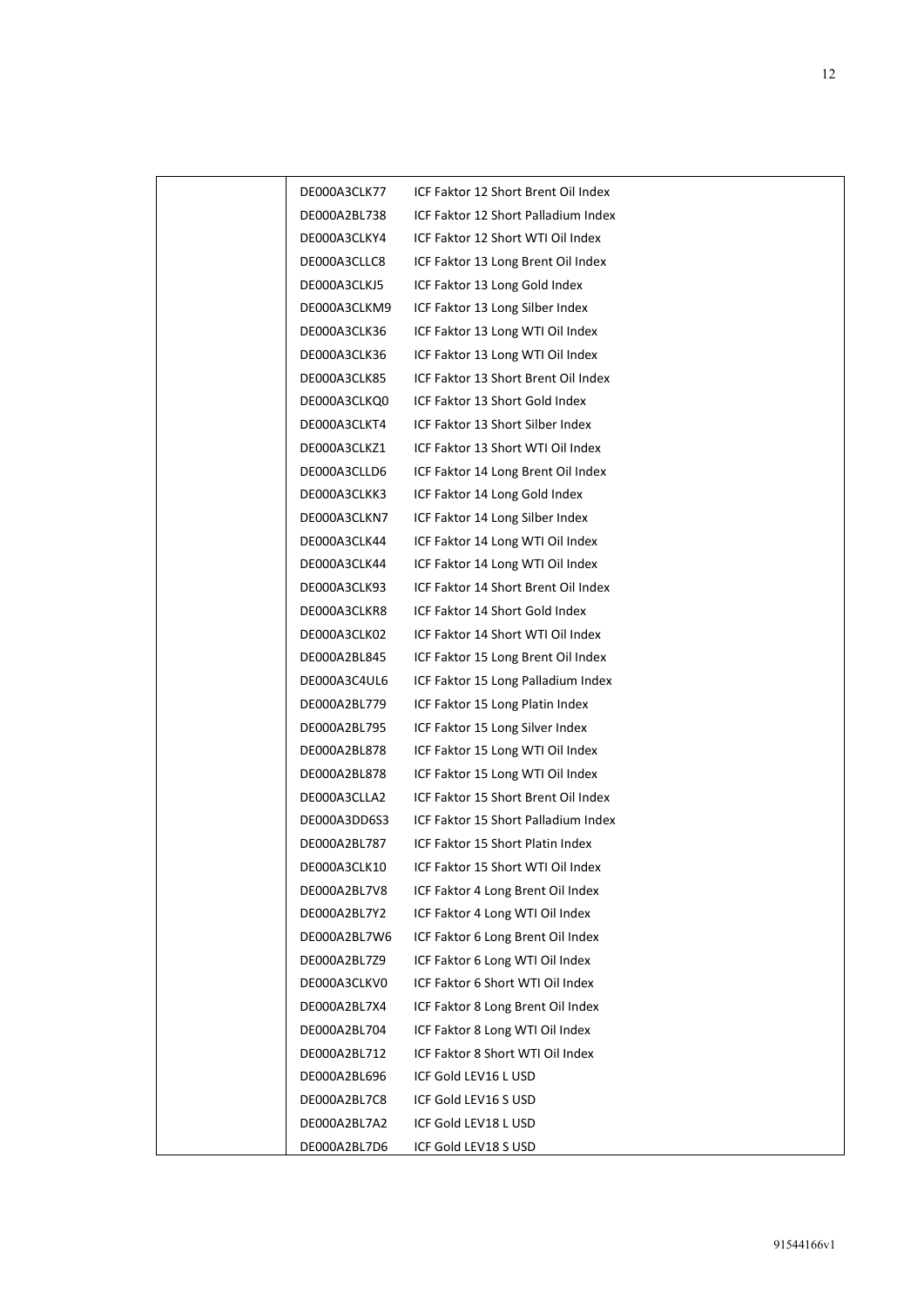| DE000A3CLK77 | ICF Faktor 12 Short Brent Oil Index |
|--------------|-------------------------------------|
| DE000A2BL738 | ICF Faktor 12 Short Palladium Index |
| DE000A3CLKY4 | ICF Faktor 12 Short WTI Oil Index   |
| DE000A3CLLC8 | ICF Faktor 13 Long Brent Oil Index  |
| DE000A3CLKJ5 | ICF Faktor 13 Long Gold Index       |
| DE000A3CLKM9 | ICF Faktor 13 Long Silber Index     |
| DE000A3CLK36 | ICF Faktor 13 Long WTI Oil Index    |
| DE000A3CLK36 | ICF Faktor 13 Long WTI Oil Index    |
| DE000A3CLK85 | ICF Faktor 13 Short Brent Oil Index |
| DE000A3CLKQ0 | ICF Faktor 13 Short Gold Index      |
| DE000A3CLKT4 | ICF Faktor 13 Short Silber Index    |
| DE000A3CLKZ1 | ICF Faktor 13 Short WTI Oil Index   |
| DE000A3CLLD6 | ICF Faktor 14 Long Brent Oil Index  |
| DE000A3CLKK3 | ICF Faktor 14 Long Gold Index       |
| DE000A3CLKN7 | ICF Faktor 14 Long Silber Index     |
| DE000A3CLK44 | ICF Faktor 14 Long WTI Oil Index    |
| DE000A3CLK44 | ICF Faktor 14 Long WTI Oil Index    |
| DE000A3CLK93 | ICF Faktor 14 Short Brent Oil Index |
| DE000A3CLKR8 | ICF Faktor 14 Short Gold Index      |
| DE000A3CLK02 | ICF Faktor 14 Short WTI Oil Index   |
| DE000A2BL845 | ICF Faktor 15 Long Brent Oil Index  |
| DE000A3C4UL6 | ICF Faktor 15 Long Palladium Index  |
| DE000A2BL779 | ICF Faktor 15 Long Platin Index     |
| DE000A2BL795 | ICF Faktor 15 Long Silver Index     |
| DE000A2BL878 | ICF Faktor 15 Long WTI Oil Index    |
| DE000A2BL878 | ICF Faktor 15 Long WTI Oil Index    |
| DE000A3CLLA2 | ICF Faktor 15 Short Brent Oil Index |
| DE000A3DD6S3 | ICF Faktor 15 Short Palladium Index |
| DE000A2BL787 | ICF Faktor 15 Short Platin Index    |
| DE000A3CLK10 | ICF Faktor 15 Short WTI Oil Index   |
| DE000A2BL7V8 | ICF Faktor 4 Long Brent Oil Index   |
| DE000A2BL7Y2 | ICF Faktor 4 Long WTI Oil Index     |
| DE000A2BL7W6 | ICF Faktor 6 Long Brent Oil Index   |
| DE000A2BL7Z9 | ICF Faktor 6 Long WTI Oil Index     |
| DE000A3CLKV0 | ICF Faktor 6 Short WTI Oil Index    |
| DE000A2BL7X4 | ICF Faktor 8 Long Brent Oil Index   |
| DE000A2BL704 | ICF Faktor 8 Long WTI Oil Index     |
| DE000A2BL712 | ICF Faktor 8 Short WTI Oil Index    |
| DE000A2BL696 | ICF Gold LEV16 L USD                |
| DE000A2BL7C8 | ICF Gold LEV16 S USD                |
| DE000A2BL7A2 | ICF Gold LEV18 L USD                |
| DE000A2BL7D6 | ICF Gold LEV18 S USD                |
|              |                                     |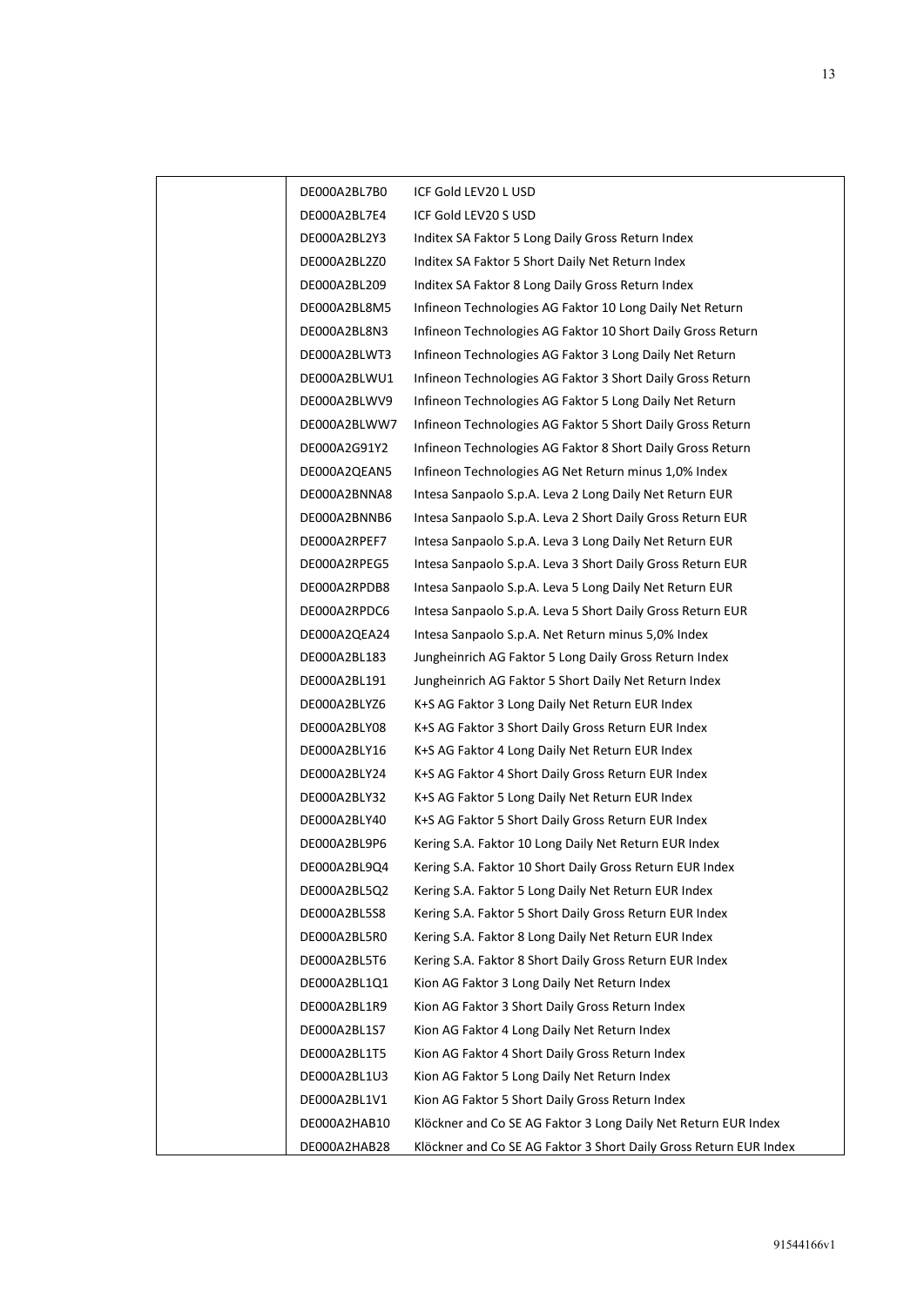| DE000A2BL7B0 | ICF Gold LEV20 L USD                                              |
|--------------|-------------------------------------------------------------------|
| DE000A2BL7E4 | ICF Gold LEV20 S USD                                              |
| DE000A2BL2Y3 | Inditex SA Faktor 5 Long Daily Gross Return Index                 |
| DE000A2BL2Z0 | Inditex SA Faktor 5 Short Daily Net Return Index                  |
| DE000A2BL209 | Inditex SA Faktor 8 Long Daily Gross Return Index                 |
| DE000A2BL8M5 | Infineon Technologies AG Faktor 10 Long Daily Net Return          |
| DE000A2BL8N3 | Infineon Technologies AG Faktor 10 Short Daily Gross Return       |
| DE000A2BLWT3 | Infineon Technologies AG Faktor 3 Long Daily Net Return           |
| DE000A2BLWU1 | Infineon Technologies AG Faktor 3 Short Daily Gross Return        |
| DE000A2BLWV9 | Infineon Technologies AG Faktor 5 Long Daily Net Return           |
| DE000A2BLWW7 | Infineon Technologies AG Faktor 5 Short Daily Gross Return        |
| DE000A2G91Y2 | Infineon Technologies AG Faktor 8 Short Daily Gross Return        |
| DE000A2QEAN5 | Infineon Technologies AG Net Return minus 1,0% Index              |
| DE000A2BNNA8 | Intesa Sanpaolo S.p.A. Leva 2 Long Daily Net Return EUR           |
| DE000A2BNNB6 | Intesa Sanpaolo S.p.A. Leva 2 Short Daily Gross Return EUR        |
| DE000A2RPEF7 | Intesa Sanpaolo S.p.A. Leva 3 Long Daily Net Return EUR           |
| DE000A2RPEG5 | Intesa Sanpaolo S.p.A. Leva 3 Short Daily Gross Return EUR        |
| DE000A2RPDB8 | Intesa Sanpaolo S.p.A. Leva 5 Long Daily Net Return EUR           |
| DE000A2RPDC6 | Intesa Sanpaolo S.p.A. Leva 5 Short Daily Gross Return EUR        |
| DE000A2QEA24 | Intesa Sanpaolo S.p.A. Net Return minus 5,0% Index                |
| DE000A2BL183 | Jungheinrich AG Faktor 5 Long Daily Gross Return Index            |
| DE000A2BL191 | Jungheinrich AG Faktor 5 Short Daily Net Return Index             |
| DE000A2BLYZ6 | K+S AG Faktor 3 Long Daily Net Return EUR Index                   |
| DE000A2BLY08 | K+S AG Faktor 3 Short Daily Gross Return EUR Index                |
| DE000A2BLY16 | K+S AG Faktor 4 Long Daily Net Return EUR Index                   |
| DE000A2BLY24 | K+S AG Faktor 4 Short Daily Gross Return EUR Index                |
| DE000A2BLY32 | K+S AG Faktor 5 Long Daily Net Return EUR Index                   |
| DE000A2BLY40 | K+S AG Faktor 5 Short Daily Gross Return EUR Index                |
| DE000A2BL9P6 | Kering S.A. Faktor 10 Long Daily Net Return EUR Index             |
| DE000A2BL9Q4 | Kering S.A. Faktor 10 Short Daily Gross Return EUR Index          |
| DE000A2BL5Q2 | Kering S.A. Faktor 5 Long Daily Net Return EUR Index              |
| DE000A2BL5S8 | Kering S.A. Faktor 5 Short Daily Gross Return EUR Index           |
| DE000A2BL5R0 | Kering S.A. Faktor 8 Long Daily Net Return EUR Index              |
| DE000A2BL5T6 | Kering S.A. Faktor 8 Short Daily Gross Return EUR Index           |
| DE000A2BL1Q1 | Kion AG Faktor 3 Long Daily Net Return Index                      |
| DE000A2BL1R9 | Kion AG Faktor 3 Short Daily Gross Return Index                   |
| DE000A2BL1S7 | Kion AG Faktor 4 Long Daily Net Return Index                      |
| DE000A2BL1T5 | Kion AG Faktor 4 Short Daily Gross Return Index                   |
| DE000A2BL1U3 | Kion AG Faktor 5 Long Daily Net Return Index                      |
| DE000A2BL1V1 | Kion AG Faktor 5 Short Daily Gross Return Index                   |
| DE000A2HAB10 | Klöckner and Co SE AG Faktor 3 Long Daily Net Return EUR Index    |
| DE000A2HAB28 | Klöckner and Co SE AG Faktor 3 Short Daily Gross Return EUR Index |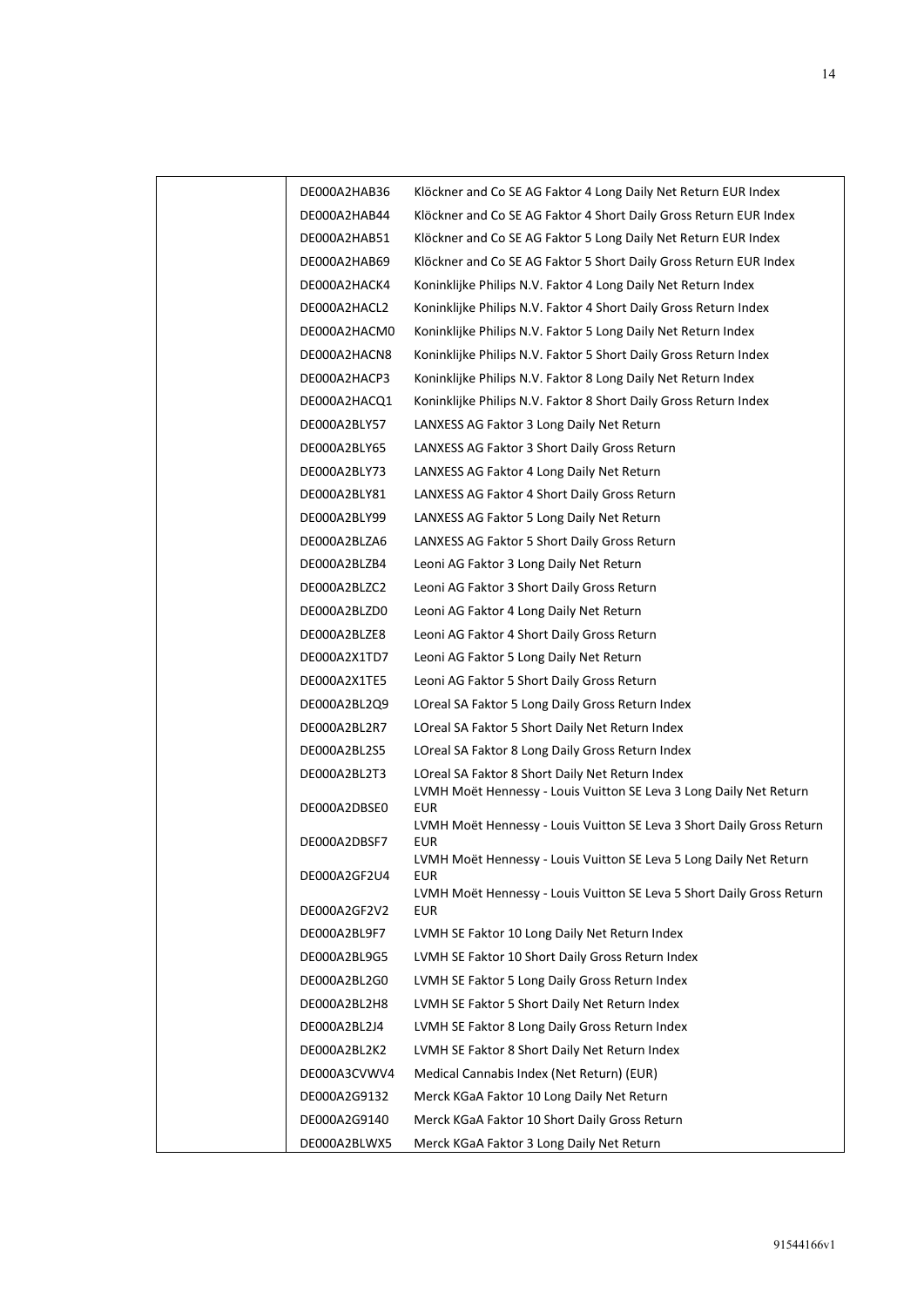| DE000A2HAB36 | Klöckner and Co SE AG Faktor 4 Long Daily Net Return EUR Index                   |
|--------------|----------------------------------------------------------------------------------|
| DE000A2HAB44 | Klöckner and Co SE AG Faktor 4 Short Daily Gross Return EUR Index                |
| DE000A2HAB51 | Klöckner and Co SE AG Faktor 5 Long Daily Net Return EUR Index                   |
| DE000A2HAB69 | Klöckner and Co SE AG Faktor 5 Short Daily Gross Return EUR Index                |
| DE000A2HACK4 | Koninklijke Philips N.V. Faktor 4 Long Daily Net Return Index                    |
| DE000A2HACL2 | Koninklijke Philips N.V. Faktor 4 Short Daily Gross Return Index                 |
| DE000A2HACM0 | Koninklijke Philips N.V. Faktor 5 Long Daily Net Return Index                    |
| DE000A2HACN8 | Koninklijke Philips N.V. Faktor 5 Short Daily Gross Return Index                 |
| DE000A2HACP3 | Koninklijke Philips N.V. Faktor 8 Long Daily Net Return Index                    |
| DE000A2HACQ1 | Koninklijke Philips N.V. Faktor 8 Short Daily Gross Return Index                 |
| DE000A2BLY57 | LANXESS AG Faktor 3 Long Daily Net Return                                        |
| DE000A2BLY65 | LANXESS AG Faktor 3 Short Daily Gross Return                                     |
| DE000A2BLY73 | LANXESS AG Faktor 4 Long Daily Net Return                                        |
| DE000A2BLY81 | LANXESS AG Faktor 4 Short Daily Gross Return                                     |
| DE000A2BLY99 | LANXESS AG Faktor 5 Long Daily Net Return                                        |
| DE000A2BLZA6 | LANXESS AG Faktor 5 Short Daily Gross Return                                     |
| DE000A2BLZB4 | Leoni AG Faktor 3 Long Daily Net Return                                          |
| DE000A2BLZC2 | Leoni AG Faktor 3 Short Daily Gross Return                                       |
| DE000A2BLZD0 | Leoni AG Faktor 4 Long Daily Net Return                                          |
| DE000A2BLZE8 | Leoni AG Faktor 4 Short Daily Gross Return                                       |
| DE000A2X1TD7 | Leoni AG Faktor 5 Long Daily Net Return                                          |
| DE000A2X1TE5 | Leoni AG Faktor 5 Short Daily Gross Return                                       |
| DE000A2BL2Q9 | LOreal SA Faktor 5 Long Daily Gross Return Index                                 |
| DE000A2BL2R7 | LOreal SA Faktor 5 Short Daily Net Return Index                                  |
| DE000A2BL2S5 | LOreal SA Faktor 8 Long Daily Gross Return Index                                 |
| DE000A2BL2T3 | LOreal SA Faktor 8 Short Daily Net Return Index                                  |
| DE000A2DBSE0 | LVMH Moët Hennessy - Louis Vuitton SE Leva 3 Long Daily Net Return<br><b>EUR</b> |
|              | LVMH Moët Hennessy - Louis Vuitton SE Leva 3 Short Daily Gross Return            |
| DE000A2DBSF7 | EUR                                                                              |
| DE000A2GF2U4 | LVMH Moët Hennessy - Louis Vuitton SE Leva 5 Long Daily Net Return<br><b>EUR</b> |
|              | LVMH Moët Hennessy - Louis Vuitton SE Leva 5 Short Daily Gross Return            |
| DE000A2GF2V2 | EUR                                                                              |
| DE000A2BL9F7 | LVMH SE Faktor 10 Long Daily Net Return Index                                    |
| DE000A2BL9G5 | LVMH SE Faktor 10 Short Daily Gross Return Index                                 |
| DE000A2BL2G0 | LVMH SE Faktor 5 Long Daily Gross Return Index                                   |
| DE000A2BL2H8 | LVMH SE Faktor 5 Short Daily Net Return Index                                    |
| DE000A2BL2J4 | LVMH SE Faktor 8 Long Daily Gross Return Index                                   |
| DE000A2BL2K2 | LVMH SE Faktor 8 Short Daily Net Return Index                                    |
| DE000A3CVWV4 | Medical Cannabis Index (Net Return) (EUR)                                        |
| DE000A2G9132 | Merck KGaA Faktor 10 Long Daily Net Return                                       |
| DE000A2G9140 | Merck KGaA Faktor 10 Short Daily Gross Return                                    |
| DE000A2BLWX5 | Merck KGaA Faktor 3 Long Daily Net Return                                        |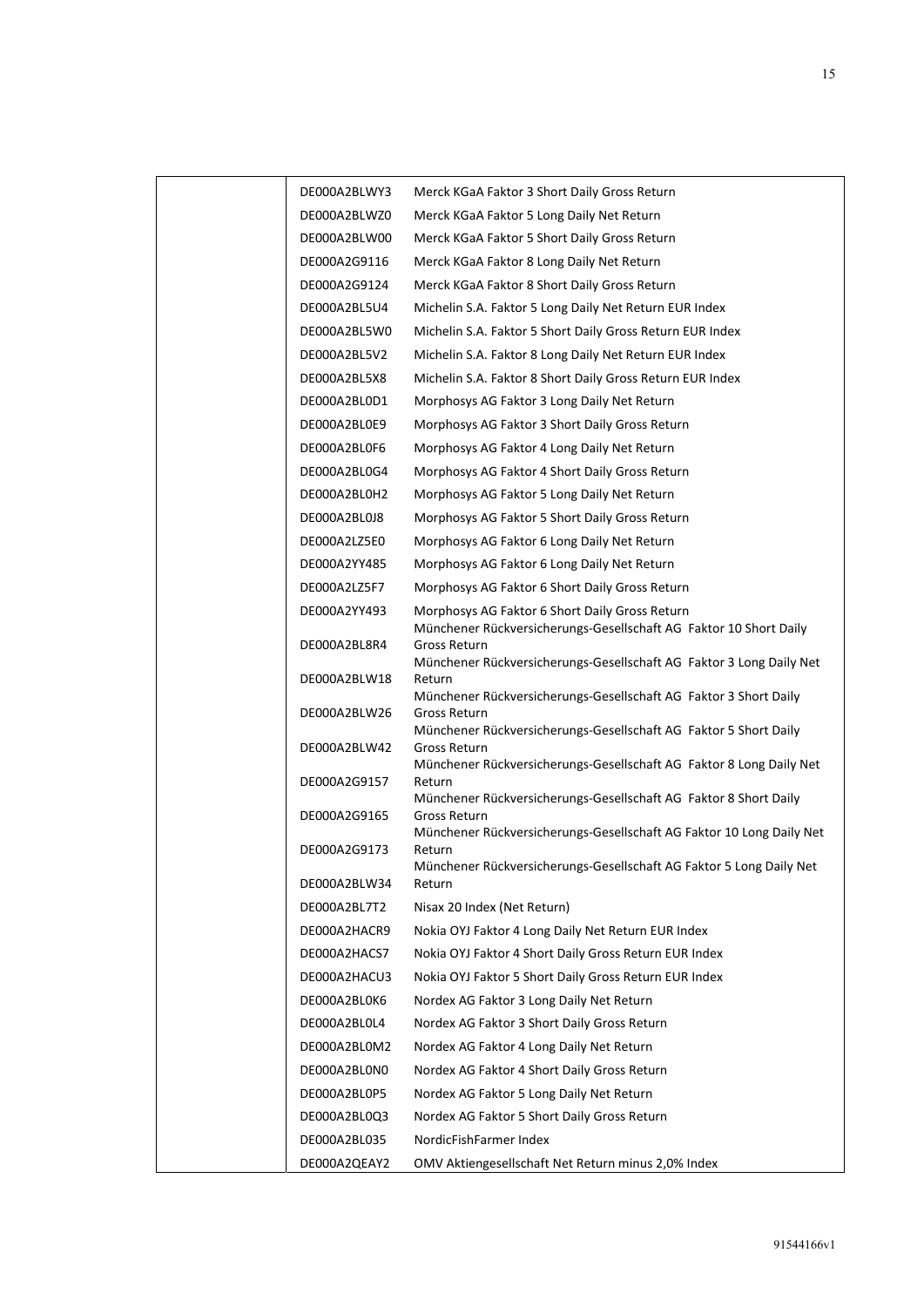| DE000A2BLWY3 | Merck KGaA Faktor 3 Short Daily Gross Return                                                                        |
|--------------|---------------------------------------------------------------------------------------------------------------------|
| DE000A2BLWZ0 | Merck KGaA Faktor 5 Long Daily Net Return                                                                           |
| DE000A2BLW00 | Merck KGaA Faktor 5 Short Daily Gross Return                                                                        |
| DE000A2G9116 | Merck KGaA Faktor 8 Long Daily Net Return                                                                           |
| DE000A2G9124 | Merck KGaA Faktor 8 Short Daily Gross Return                                                                        |
| DE000A2BL5U4 | Michelin S.A. Faktor 5 Long Daily Net Return EUR Index                                                              |
| DE000A2BL5W0 | Michelin S.A. Faktor 5 Short Daily Gross Return EUR Index                                                           |
| DE000A2BL5V2 | Michelin S.A. Faktor 8 Long Daily Net Return EUR Index                                                              |
| DE000A2BL5X8 | Michelin S.A. Faktor 8 Short Daily Gross Return EUR Index                                                           |
| DE000A2BL0D1 | Morphosys AG Faktor 3 Long Daily Net Return                                                                         |
| DE000A2BL0E9 | Morphosys AG Faktor 3 Short Daily Gross Return                                                                      |
| DE000A2BL0F6 | Morphosys AG Faktor 4 Long Daily Net Return                                                                         |
| DE000A2BL0G4 | Morphosys AG Faktor 4 Short Daily Gross Return                                                                      |
| DE000A2BL0H2 | Morphosys AG Faktor 5 Long Daily Net Return                                                                         |
| DE000A2BL0J8 | Morphosys AG Faktor 5 Short Daily Gross Return                                                                      |
| DE000A2LZ5E0 | Morphosys AG Faktor 6 Long Daily Net Return                                                                         |
| DE000A2YY485 | Morphosys AG Faktor 6 Long Daily Net Return                                                                         |
| DE000A2LZ5F7 | Morphosys AG Faktor 6 Short Daily Gross Return                                                                      |
| DE000A2YY493 | Morphosys AG Faktor 6 Short Daily Gross Return<br>Münchener Rückversicherungs-Gesellschaft AG Faktor 10 Short Daily |
| DE000A2BL8R4 | Gross Return<br>Münchener Rückversicherungs-Gesellschaft AG Faktor 3 Long Daily Net                                 |
| DE000A2BLW18 | Return<br>Münchener Rückversicherungs-Gesellschaft AG Faktor 3 Short Daily                                          |
| DE000A2BLW26 | Gross Return<br>Münchener Rückversicherungs-Gesellschaft AG Faktor 5 Short Daily                                    |
| DE000A2BLW42 | Gross Return<br>Münchener Rückversicherungs-Gesellschaft AG Faktor 8 Long Daily Net                                 |
| DE000A2G9157 | Return<br>Münchener Rückversicherungs-Gesellschaft AG Faktor 8 Short Daily                                          |
| DE000A2G9165 | Gross Return<br>Münchener Rückversicherungs-Gesellschaft AG Faktor 10 Long Daily Net                                |
| DE000A2G9173 | Return                                                                                                              |
| DE000A2BLW34 | Münchener Rückversicherungs-Gesellschaft AG Faktor 5 Long Daily Net<br>Return                                       |
| DE000A2BL7T2 | Nisax 20 Index (Net Return)                                                                                         |
| DE000A2HACR9 | Nokia OYJ Faktor 4 Long Daily Net Return EUR Index                                                                  |
| DE000A2HACS7 | Nokia OYJ Faktor 4 Short Daily Gross Return EUR Index                                                               |
| DE000A2HACU3 | Nokia OYJ Faktor 5 Short Daily Gross Return EUR Index                                                               |
| DE000A2BL0K6 | Nordex AG Faktor 3 Long Daily Net Return                                                                            |
| DE000A2BL0L4 | Nordex AG Faktor 3 Short Daily Gross Return                                                                         |
| DE000A2BL0M2 | Nordex AG Faktor 4 Long Daily Net Return                                                                            |
| DE000A2BL0N0 | Nordex AG Faktor 4 Short Daily Gross Return                                                                         |
| DE000A2BL0P5 | Nordex AG Faktor 5 Long Daily Net Return                                                                            |
| DE000A2BL0Q3 | Nordex AG Faktor 5 Short Daily Gross Return                                                                         |
| DE000A2BL035 | NordicFishFarmer Index                                                                                              |
| DE000A2QEAY2 | OMV Aktiengesellschaft Net Return minus 2,0% Index                                                                  |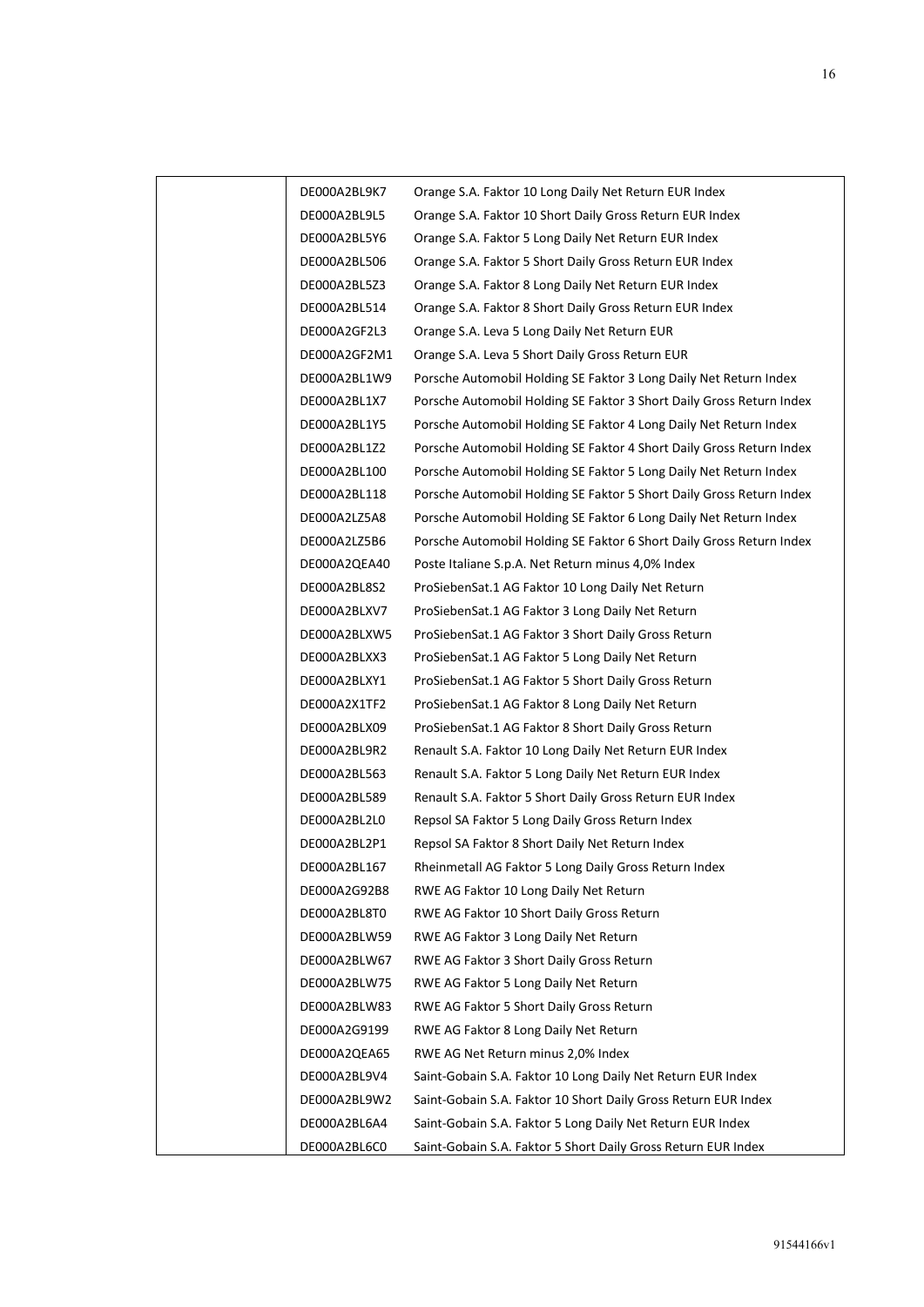| DE000A2BL9K7 | Orange S.A. Faktor 10 Long Daily Net Return EUR Index                |
|--------------|----------------------------------------------------------------------|
| DE000A2BL9L5 | Orange S.A. Faktor 10 Short Daily Gross Return EUR Index             |
| DE000A2BL5Y6 | Orange S.A. Faktor 5 Long Daily Net Return EUR Index                 |
| DE000A2BL506 | Orange S.A. Faktor 5 Short Daily Gross Return EUR Index              |
| DE000A2BL5Z3 | Orange S.A. Faktor 8 Long Daily Net Return EUR Index                 |
| DE000A2BL514 | Orange S.A. Faktor 8 Short Daily Gross Return EUR Index              |
| DE000A2GF2L3 | Orange S.A. Leva 5 Long Daily Net Return EUR                         |
| DE000A2GF2M1 | Orange S.A. Leva 5 Short Daily Gross Return EUR                      |
| DE000A2BL1W9 | Porsche Automobil Holding SE Faktor 3 Long Daily Net Return Index    |
| DE000A2BL1X7 | Porsche Automobil Holding SE Faktor 3 Short Daily Gross Return Index |
| DE000A2BL1Y5 | Porsche Automobil Holding SE Faktor 4 Long Daily Net Return Index    |
| DE000A2BL1Z2 | Porsche Automobil Holding SE Faktor 4 Short Daily Gross Return Index |
| DE000A2BL100 | Porsche Automobil Holding SE Faktor 5 Long Daily Net Return Index    |
| DE000A2BL118 | Porsche Automobil Holding SE Faktor 5 Short Daily Gross Return Index |
| DE000A2LZ5A8 | Porsche Automobil Holding SE Faktor 6 Long Daily Net Return Index    |
| DE000A2LZ5B6 | Porsche Automobil Holding SE Faktor 6 Short Daily Gross Return Index |
| DE000A2QEA40 | Poste Italiane S.p.A. Net Return minus 4,0% Index                    |
| DE000A2BL8S2 | ProSiebenSat.1 AG Faktor 10 Long Daily Net Return                    |
| DE000A2BLXV7 | ProSiebenSat.1 AG Faktor 3 Long Daily Net Return                     |
| DE000A2BLXW5 | ProSiebenSat.1 AG Faktor 3 Short Daily Gross Return                  |
| DE000A2BLXX3 | ProSiebenSat.1 AG Faktor 5 Long Daily Net Return                     |
| DE000A2BLXY1 | ProSiebenSat.1 AG Faktor 5 Short Daily Gross Return                  |
| DE000A2X1TF2 | ProSiebenSat.1 AG Faktor 8 Long Daily Net Return                     |
| DE000A2BLX09 | ProSiebenSat.1 AG Faktor 8 Short Daily Gross Return                  |
| DE000A2BL9R2 | Renault S.A. Faktor 10 Long Daily Net Return EUR Index               |
| DE000A2BL563 | Renault S.A. Faktor 5 Long Daily Net Return EUR Index                |
| DE000A2BL589 | Renault S.A. Faktor 5 Short Daily Gross Return EUR Index             |
| DE000A2BL2L0 | Repsol SA Faktor 5 Long Daily Gross Return Index                     |
| DE000A2BL2P1 | Repsol SA Faktor 8 Short Daily Net Return Index                      |
| DE000A2BL167 | Rheinmetall AG Faktor 5 Long Daily Gross Return Index                |
| DE000A2G92B8 | RWE AG Faktor 10 Long Daily Net Return                               |
| DE000A2BL8T0 | RWE AG Faktor 10 Short Daily Gross Return                            |
| DE000A2BLW59 | RWE AG Faktor 3 Long Daily Net Return                                |
| DE000A2BLW67 | RWE AG Faktor 3 Short Daily Gross Return                             |
| DE000A2BLW75 | RWE AG Faktor 5 Long Daily Net Return                                |
| DE000A2BLW83 | RWE AG Faktor 5 Short Daily Gross Return                             |
| DE000A2G9199 | RWE AG Faktor 8 Long Daily Net Return                                |
| DE000A2QEA65 | RWE AG Net Return minus 2,0% Index                                   |
| DE000A2BL9V4 | Saint-Gobain S.A. Faktor 10 Long Daily Net Return EUR Index          |
| DE000A2BL9W2 | Saint-Gobain S.A. Faktor 10 Short Daily Gross Return EUR Index       |
| DE000A2BL6A4 | Saint-Gobain S.A. Faktor 5 Long Daily Net Return EUR Index           |
| DE000A2BL6C0 | Saint-Gobain S.A. Faktor 5 Short Daily Gross Return EUR Index        |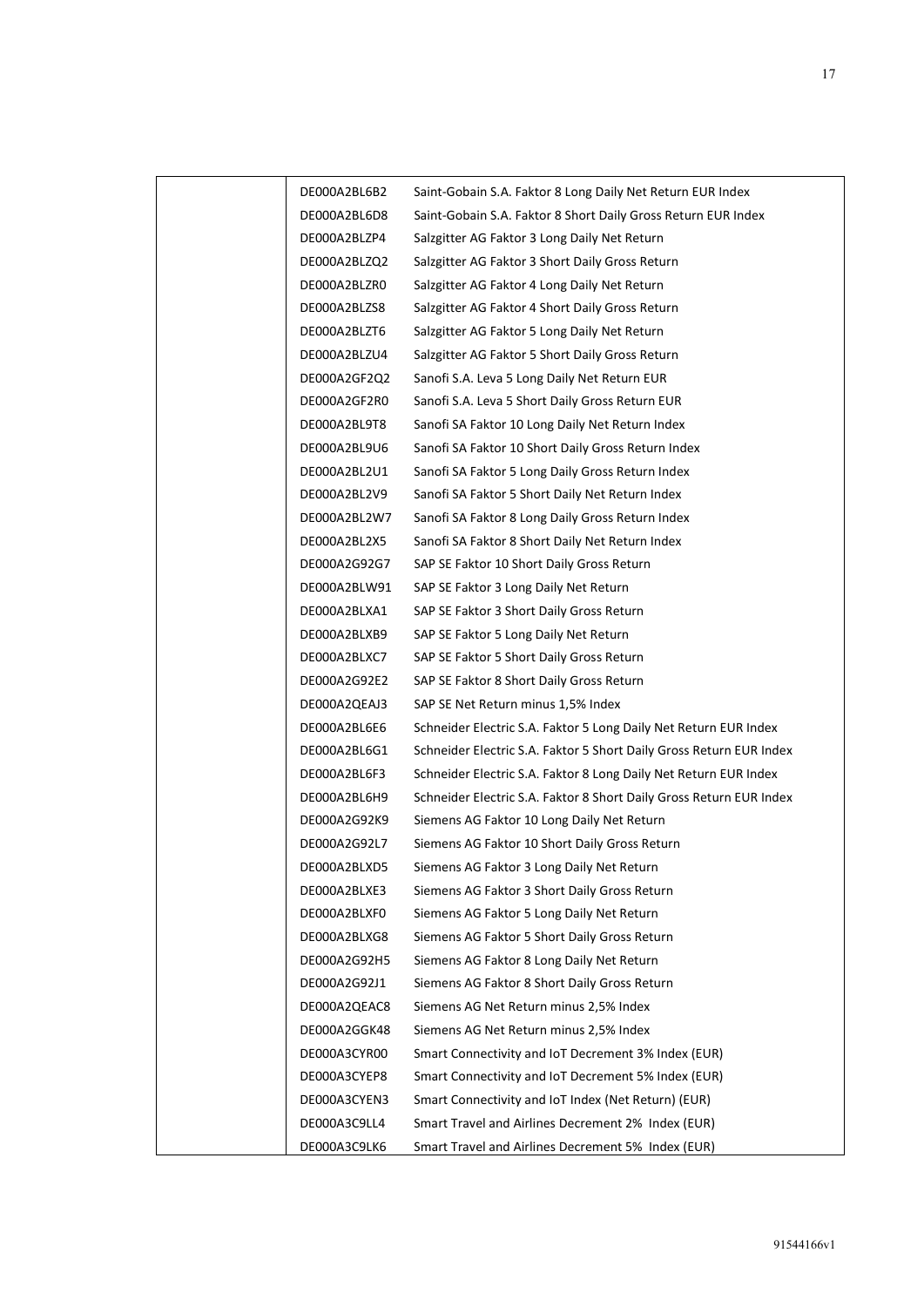| DE000A2BL6B2 | Saint-Gobain S.A. Faktor 8 Long Daily Net Return EUR Index          |
|--------------|---------------------------------------------------------------------|
| DE000A2BL6D8 | Saint-Gobain S.A. Faktor 8 Short Daily Gross Return EUR Index       |
| DE000A2BLZP4 | Salzgitter AG Faktor 3 Long Daily Net Return                        |
| DE000A2BLZQ2 | Salzgitter AG Faktor 3 Short Daily Gross Return                     |
| DE000A2BLZR0 | Salzgitter AG Faktor 4 Long Daily Net Return                        |
| DE000A2BLZS8 | Salzgitter AG Faktor 4 Short Daily Gross Return                     |
| DE000A2BLZT6 | Salzgitter AG Faktor 5 Long Daily Net Return                        |
| DE000A2BLZU4 | Salzgitter AG Faktor 5 Short Daily Gross Return                     |
| DE000A2GF2Q2 | Sanofi S.A. Leva 5 Long Daily Net Return EUR                        |
| DE000A2GF2R0 | Sanofi S.A. Leva 5 Short Daily Gross Return EUR                     |
| DE000A2BL9T8 | Sanofi SA Faktor 10 Long Daily Net Return Index                     |
| DE000A2BL9U6 | Sanofi SA Faktor 10 Short Daily Gross Return Index                  |
| DE000A2BL2U1 | Sanofi SA Faktor 5 Long Daily Gross Return Index                    |
| DE000A2BL2V9 | Sanofi SA Faktor 5 Short Daily Net Return Index                     |
| DE000A2BL2W7 | Sanofi SA Faktor 8 Long Daily Gross Return Index                    |
| DE000A2BL2X5 | Sanofi SA Faktor 8 Short Daily Net Return Index                     |
| DE000A2G92G7 | SAP SE Faktor 10 Short Daily Gross Return                           |
| DE000A2BLW91 | SAP SE Faktor 3 Long Daily Net Return                               |
| DE000A2BLXA1 | SAP SE Faktor 3 Short Daily Gross Return                            |
| DE000A2BLXB9 | SAP SE Faktor 5 Long Daily Net Return                               |
| DE000A2BLXC7 | SAP SE Faktor 5 Short Daily Gross Return                            |
| DE000A2G92E2 | SAP SE Faktor 8 Short Daily Gross Return                            |
| DE000A2QEAJ3 | SAP SE Net Return minus 1,5% Index                                  |
| DE000A2BL6E6 | Schneider Electric S.A. Faktor 5 Long Daily Net Return EUR Index    |
| DE000A2BL6G1 | Schneider Electric S.A. Faktor 5 Short Daily Gross Return EUR Index |
| DE000A2BL6F3 | Schneider Electric S.A. Faktor 8 Long Daily Net Return EUR Index    |
| DE000A2BL6H9 | Schneider Electric S.A. Faktor 8 Short Daily Gross Return EUR Index |
| DE000A2G92K9 | Siemens AG Faktor 10 Long Daily Net Return                          |
| DE000A2G92L7 | Siemens AG Faktor 10 Short Daily Gross Return                       |
| DE000A2BLXD5 | Siemens AG Faktor 3 Long Daily Net Return                           |
| DE000A2BLXE3 | Siemens AG Faktor 3 Short Daily Gross Return                        |
| DE000A2BLXF0 | Siemens AG Faktor 5 Long Daily Net Return                           |
| DE000A2BLXG8 | Siemens AG Faktor 5 Short Daily Gross Return                        |
| DE000A2G92H5 | Siemens AG Faktor 8 Long Daily Net Return                           |
| DE000A2G92J1 | Siemens AG Faktor 8 Short Daily Gross Return                        |
| DE000A2QEAC8 | Siemens AG Net Return minus 2,5% Index                              |
| DE000A2GGK48 | Siemens AG Net Return minus 2,5% Index                              |
| DE000A3CYR00 | Smart Connectivity and IoT Decrement 3% Index (EUR)                 |
| DE000A3CYEP8 | Smart Connectivity and IoT Decrement 5% Index (EUR)                 |
| DE000A3CYEN3 | Smart Connectivity and IoT Index (Net Return) (EUR)                 |
| DE000A3C9LL4 | Smart Travel and Airlines Decrement 2% Index (EUR)                  |
| DE000A3C9LK6 | Smart Travel and Airlines Decrement 5% Index (EUR)                  |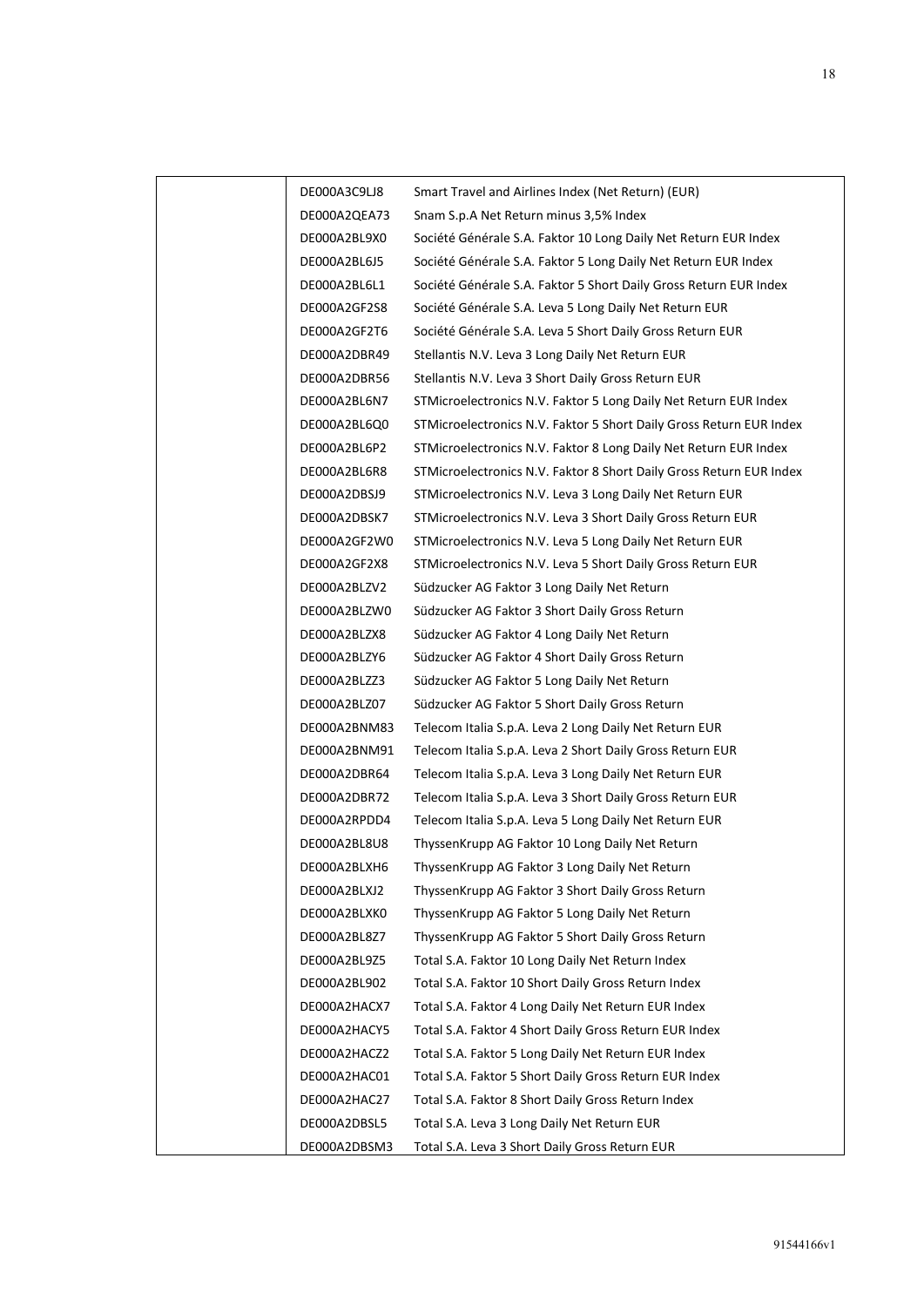| DE000A3C9LJ8 | Smart Travel and Airlines Index (Net Return) (EUR)                  |
|--------------|---------------------------------------------------------------------|
| DE000A2QEA73 | Snam S.p.A Net Return minus 3,5% Index                              |
| DE000A2BL9X0 | Société Générale S.A. Faktor 10 Long Daily Net Return EUR Index     |
| DE000A2BL6J5 | Société Générale S.A. Faktor 5 Long Daily Net Return EUR Index      |
| DE000A2BL6L1 | Société Générale S.A. Faktor 5 Short Daily Gross Return EUR Index   |
| DE000A2GF2S8 | Société Générale S.A. Leva 5 Long Daily Net Return EUR              |
| DE000A2GF2T6 | Société Générale S.A. Leva 5 Short Daily Gross Return EUR           |
| DE000A2DBR49 | Stellantis N.V. Leva 3 Long Daily Net Return EUR                    |
| DE000A2DBR56 | Stellantis N.V. Leva 3 Short Daily Gross Return EUR                 |
| DE000A2BL6N7 | STMicroelectronics N.V. Faktor 5 Long Daily Net Return EUR Index    |
| DE000A2BL6Q0 | STMicroelectronics N.V. Faktor 5 Short Daily Gross Return EUR Index |
| DE000A2BL6P2 | STMicroelectronics N.V. Faktor 8 Long Daily Net Return EUR Index    |
| DE000A2BL6R8 | STMicroelectronics N.V. Faktor 8 Short Daily Gross Return EUR Index |
| DE000A2DBSJ9 | STMicroelectronics N.V. Leva 3 Long Daily Net Return EUR            |
| DE000A2DBSK7 | STMicroelectronics N.V. Leva 3 Short Daily Gross Return EUR         |
| DE000A2GF2W0 | STMicroelectronics N.V. Leva 5 Long Daily Net Return EUR            |
| DE000A2GF2X8 | STMicroelectronics N.V. Leva 5 Short Daily Gross Return EUR         |
| DE000A2BLZV2 | Südzucker AG Faktor 3 Long Daily Net Return                         |
| DE000A2BLZW0 | Südzucker AG Faktor 3 Short Daily Gross Return                      |
| DE000A2BLZX8 | Südzucker AG Faktor 4 Long Daily Net Return                         |
| DE000A2BLZY6 | Südzucker AG Faktor 4 Short Daily Gross Return                      |
| DE000A2BLZZ3 | Südzucker AG Faktor 5 Long Daily Net Return                         |
| DE000A2BLZ07 | Südzucker AG Faktor 5 Short Daily Gross Return                      |
| DE000A2BNM83 | Telecom Italia S.p.A. Leva 2 Long Daily Net Return EUR              |
| DE000A2BNM91 | Telecom Italia S.p.A. Leva 2 Short Daily Gross Return EUR           |
| DE000A2DBR64 | Telecom Italia S.p.A. Leva 3 Long Daily Net Return EUR              |
| DE000A2DBR72 | Telecom Italia S.p.A. Leva 3 Short Daily Gross Return EUR           |
| DE000A2RPDD4 | Telecom Italia S.p.A. Leva 5 Long Daily Net Return EUR              |
| DE000A2BL8U8 | ThyssenKrupp AG Faktor 10 Long Daily Net Return                     |
| DE000A2BLXH6 | ThyssenKrupp AG Faktor 3 Long Daily Net Return                      |
| DE000A2BLXJ2 | ThyssenKrupp AG Faktor 3 Short Daily Gross Return                   |
| DE000A2BLXK0 | ThyssenKrupp AG Faktor 5 Long Daily Net Return                      |
| DE000A2BL8Z7 | ThyssenKrupp AG Faktor 5 Short Daily Gross Return                   |
| DE000A2BL9Z5 | Total S.A. Faktor 10 Long Daily Net Return Index                    |
| DE000A2BL902 | Total S.A. Faktor 10 Short Daily Gross Return Index                 |
| DE000A2HACX7 | Total S.A. Faktor 4 Long Daily Net Return EUR Index                 |
| DE000A2HACY5 | Total S.A. Faktor 4 Short Daily Gross Return EUR Index              |
| DE000A2HACZ2 | Total S.A. Faktor 5 Long Daily Net Return EUR Index                 |
| DE000A2HAC01 | Total S.A. Faktor 5 Short Daily Gross Return EUR Index              |
| DE000A2HAC27 | Total S.A. Faktor 8 Short Daily Gross Return Index                  |
| DE000A2DBSL5 | Total S.A. Leva 3 Long Daily Net Return EUR                         |
| DE000A2DBSM3 | Total S.A. Leva 3 Short Daily Gross Return EUR                      |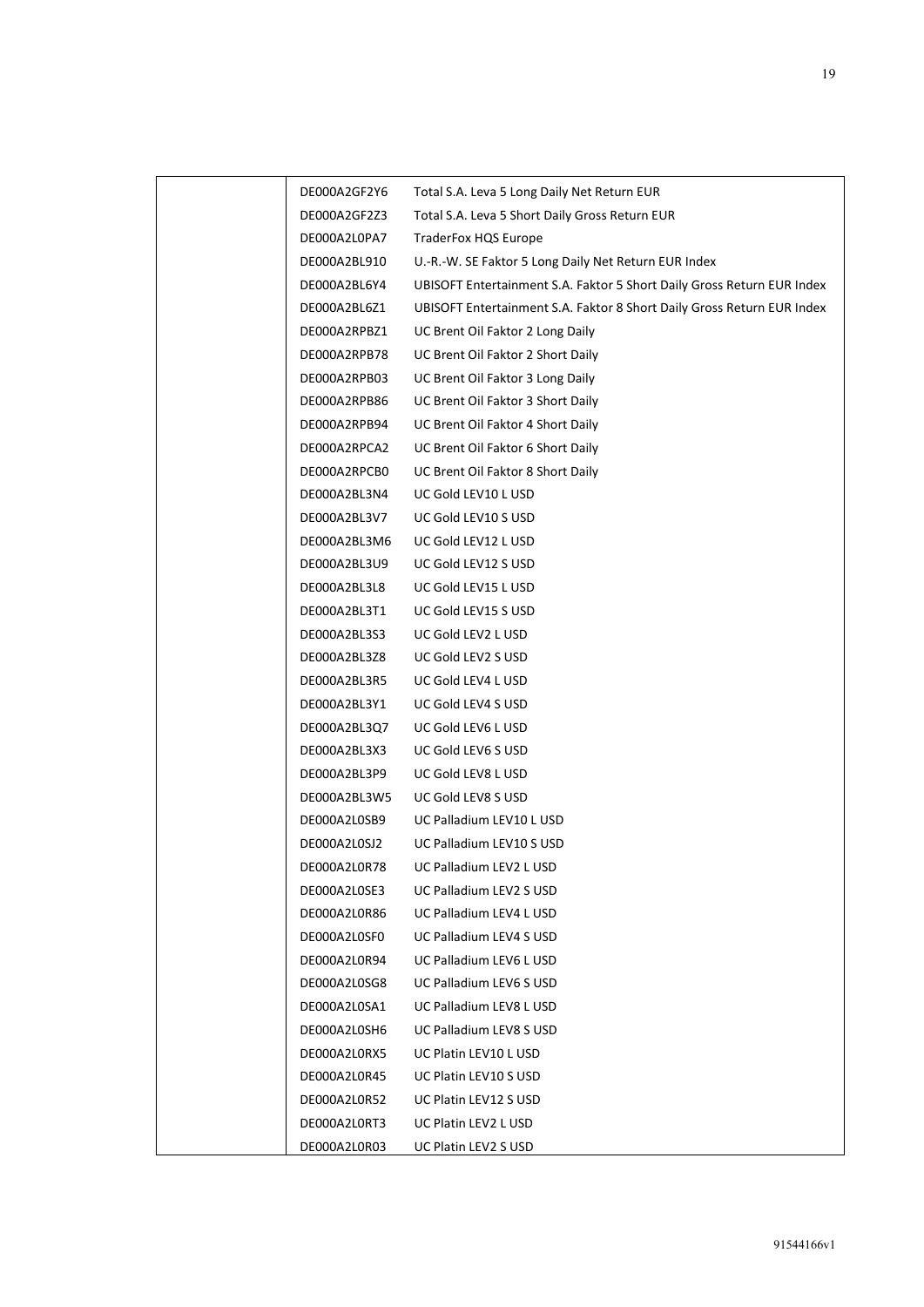| DE000A2GF2Y6 | Total S.A. Leva 5 Long Daily Net Return EUR                            |
|--------------|------------------------------------------------------------------------|
| DE000A2GF2Z3 | Total S.A. Leva 5 Short Daily Gross Return EUR                         |
| DE000A2L0PA7 | TraderFox HQS Europe                                                   |
| DE000A2BL910 | U.-R.-W. SE Faktor 5 Long Daily Net Return EUR Index                   |
| DE000A2BL6Y4 | UBISOFT Entertainment S.A. Faktor 5 Short Daily Gross Return EUR Index |
| DE000A2BL6Z1 | UBISOFT Entertainment S.A. Faktor 8 Short Daily Gross Return EUR Index |
| DE000A2RPBZ1 | UC Brent Oil Faktor 2 Long Daily                                       |
| DE000A2RPB78 | UC Brent Oil Faktor 2 Short Daily                                      |
| DE000A2RPB03 | UC Brent Oil Faktor 3 Long Daily                                       |
| DE000A2RPB86 | UC Brent Oil Faktor 3 Short Daily                                      |
| DE000A2RPB94 | UC Brent Oil Faktor 4 Short Daily                                      |
| DE000A2RPCA2 | UC Brent Oil Faktor 6 Short Daily                                      |
| DE000A2RPCB0 | UC Brent Oil Faktor 8 Short Daily                                      |
| DE000A2BL3N4 | UC Gold LEV10 L USD                                                    |
| DE000A2BL3V7 | UC Gold LEV10 S USD                                                    |
| DE000A2BL3M6 | UC Gold LEV12 L USD                                                    |
| DE000A2BL3U9 | UC Gold LEV12 S USD                                                    |
| DE000A2BL3L8 | UC Gold LEV15 L USD                                                    |
| DE000A2BL3T1 | UC Gold LEV15 S USD                                                    |
| DE000A2BL3S3 | UC Gold LEV2 L USD                                                     |
| DE000A2BL3Z8 | UC Gold LEV2 S USD                                                     |
| DE000A2BL3R5 | UC Gold LEV4 L USD                                                     |
| DE000A2BL3Y1 | UC Gold LEV4 S USD                                                     |
| DE000A2BL3Q7 | UC Gold LEV6 L USD                                                     |
| DE000A2BL3X3 | UC Gold LEV6 S USD                                                     |
| DE000A2BL3P9 | UC Gold LEV8 L USD                                                     |
| DE000A2BL3W5 | UC Gold LEV8 S USD                                                     |
| DE000A2L0SB9 | UC Palladium LEV10 L USD                                               |
| DE000A2L0SJ2 | UC Palladium LEV10 S USD                                               |
| DE000A2L0R78 | UC Palladium LEV2 L USD                                                |
| DE000A2L0SE3 | UC Palladium LEV2 S USD                                                |
| DE000A2L0R86 | UC Palladium LEV4 L USD                                                |
| DE000A2L0SF0 | UC Palladium LEV4 S USD                                                |
| DE000A2L0R94 | UC Palladium LEV6 L USD                                                |
| DE000A2L0SG8 | UC Palladium LEV6 S USD                                                |
| DE000A2L0SA1 | UC Palladium LEV8 L USD                                                |
| DE000A2L0SH6 | UC Palladium LEV8 S USD                                                |
| DE000A2L0RX5 | UC Platin LEV10 L USD                                                  |
| DE000A2L0R45 | UC Platin LEV10 S USD                                                  |
| DE000A2L0R52 | UC Platin LEV12 S USD                                                  |
| DE000A2L0RT3 | UC Platin LEV2 L USD                                                   |
| DE000A2L0R03 | UC Platin LEV2 S USD                                                   |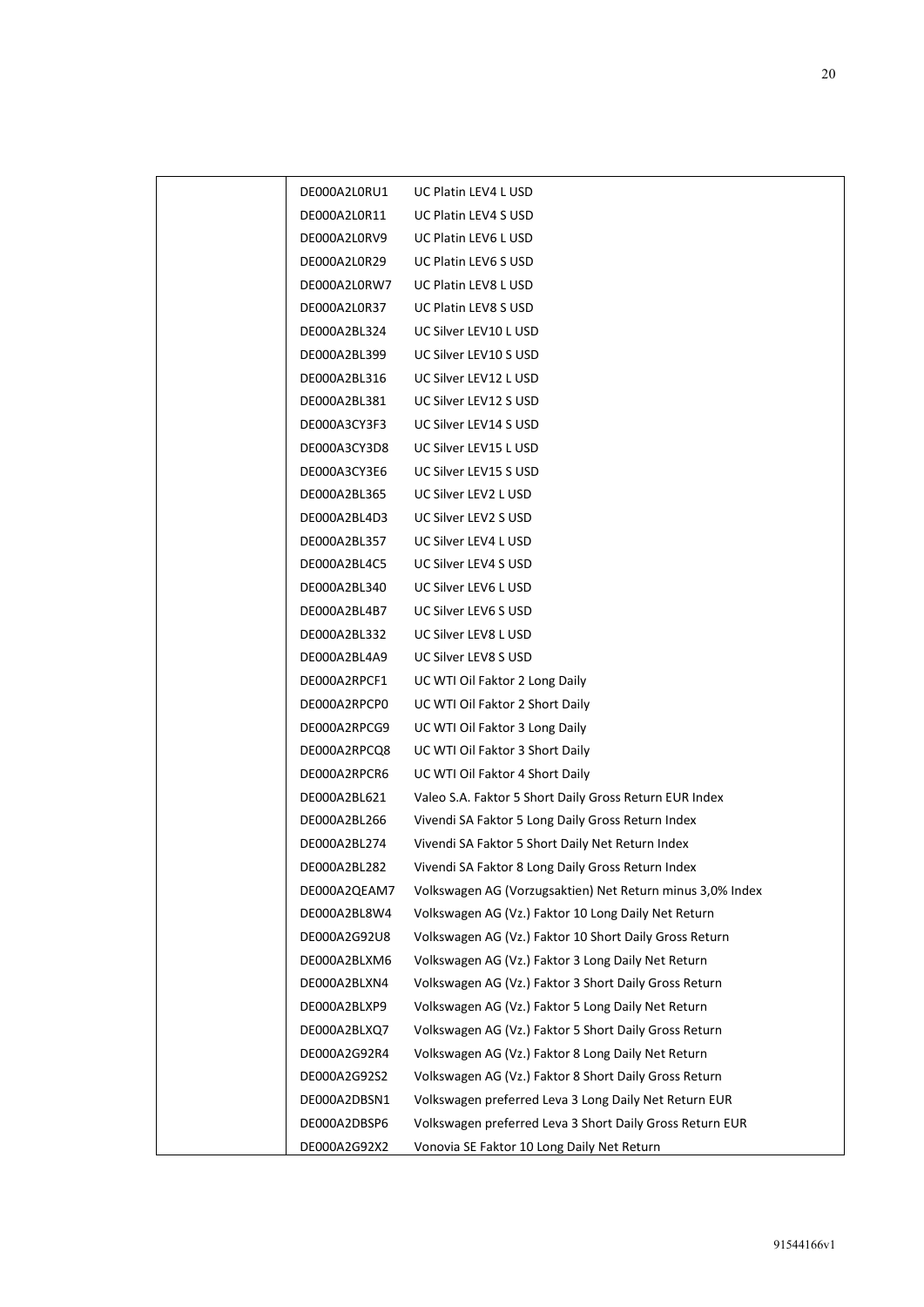| DE000A2L0RU1 | UC Platin LEV4 L USD                                      |
|--------------|-----------------------------------------------------------|
| DE000A2L0R11 | <b>UC Platin LEV4 S USD</b>                               |
| DE000A2L0RV9 | UC Platin LEV6 L USD                                      |
| DE000A2L0R29 | UC Platin LEV6 S USD                                      |
| DE000A2L0RW7 | UC Platin LEV8 L USD                                      |
| DE000A2L0R37 | UC Platin LEV8 S USD                                      |
| DE000A2BL324 | UC Silver LEV10 L USD                                     |
| DE000A2BL399 | UC Silver LEV10 S USD                                     |
| DE000A2BL316 | UC Silver LEV12 L USD                                     |
| DE000A2BL381 | UC Silver LEV12 S USD                                     |
| DE000A3CY3F3 | UC Silver LEV14 S USD                                     |
| DE000A3CY3D8 | UC Silver LEV15 L USD                                     |
| DE000A3CY3E6 | UC Silver LEV15 S USD                                     |
| DE000A2BL365 | UC Silver LEV2 L USD                                      |
| DE000A2BL4D3 | UC Silver LEV2 S USD                                      |
| DE000A2BL357 | UC Silver LEV4 L USD                                      |
| DE000A2BL4C5 | UC Silver LEV4 S USD                                      |
| DE000A2BL340 | UC Silver LEV6 L USD                                      |
| DE000A2BL4B7 | UC Silver LEV6 S USD                                      |
| DE000A2BL332 | UC Silver LEV8 L USD                                      |
| DE000A2BL4A9 | UC Silver LEV8 S USD                                      |
| DE000A2RPCF1 | UC WTI Oil Faktor 2 Long Daily                            |
| DE000A2RPCP0 | UC WTI Oil Faktor 2 Short Daily                           |
| DE000A2RPCG9 | UC WTI Oil Faktor 3 Long Daily                            |
| DE000A2RPCQ8 | UC WTI Oil Faktor 3 Short Daily                           |
| DE000A2RPCR6 | UC WTI Oil Faktor 4 Short Daily                           |
| DE000A2BL621 | Valeo S.A. Faktor 5 Short Daily Gross Return EUR Index    |
| DE000A2BL266 | Vivendi SA Faktor 5 Long Daily Gross Return Index         |
| DE000A2BL274 | Vivendi SA Faktor 5 Short Daily Net Return Index          |
| DE000A2BL282 | Vivendi SA Faktor 8 Long Daily Gross Return Index         |
| DE000A2QEAM7 | Volkswagen AG (Vorzugsaktien) Net Return minus 3,0% Index |
| DE000A2BL8W4 | Volkswagen AG (Vz.) Faktor 10 Long Daily Net Return       |
| DE000A2G92U8 | Volkswagen AG (Vz.) Faktor 10 Short Daily Gross Return    |
| DE000A2BLXM6 | Volkswagen AG (Vz.) Faktor 3 Long Daily Net Return        |
| DE000A2BLXN4 | Volkswagen AG (Vz.) Faktor 3 Short Daily Gross Return     |
| DE000A2BLXP9 | Volkswagen AG (Vz.) Faktor 5 Long Daily Net Return        |
| DE000A2BLXQ7 | Volkswagen AG (Vz.) Faktor 5 Short Daily Gross Return     |
| DE000A2G92R4 | Volkswagen AG (Vz.) Faktor 8 Long Daily Net Return        |
| DE000A2G92S2 | Volkswagen AG (Vz.) Faktor 8 Short Daily Gross Return     |
| DE000A2DBSN1 | Volkswagen preferred Leva 3 Long Daily Net Return EUR     |
| DE000A2DBSP6 | Volkswagen preferred Leva 3 Short Daily Gross Return EUR  |
| DE000A2G92X2 | Vonovia SE Faktor 10 Long Daily Net Return                |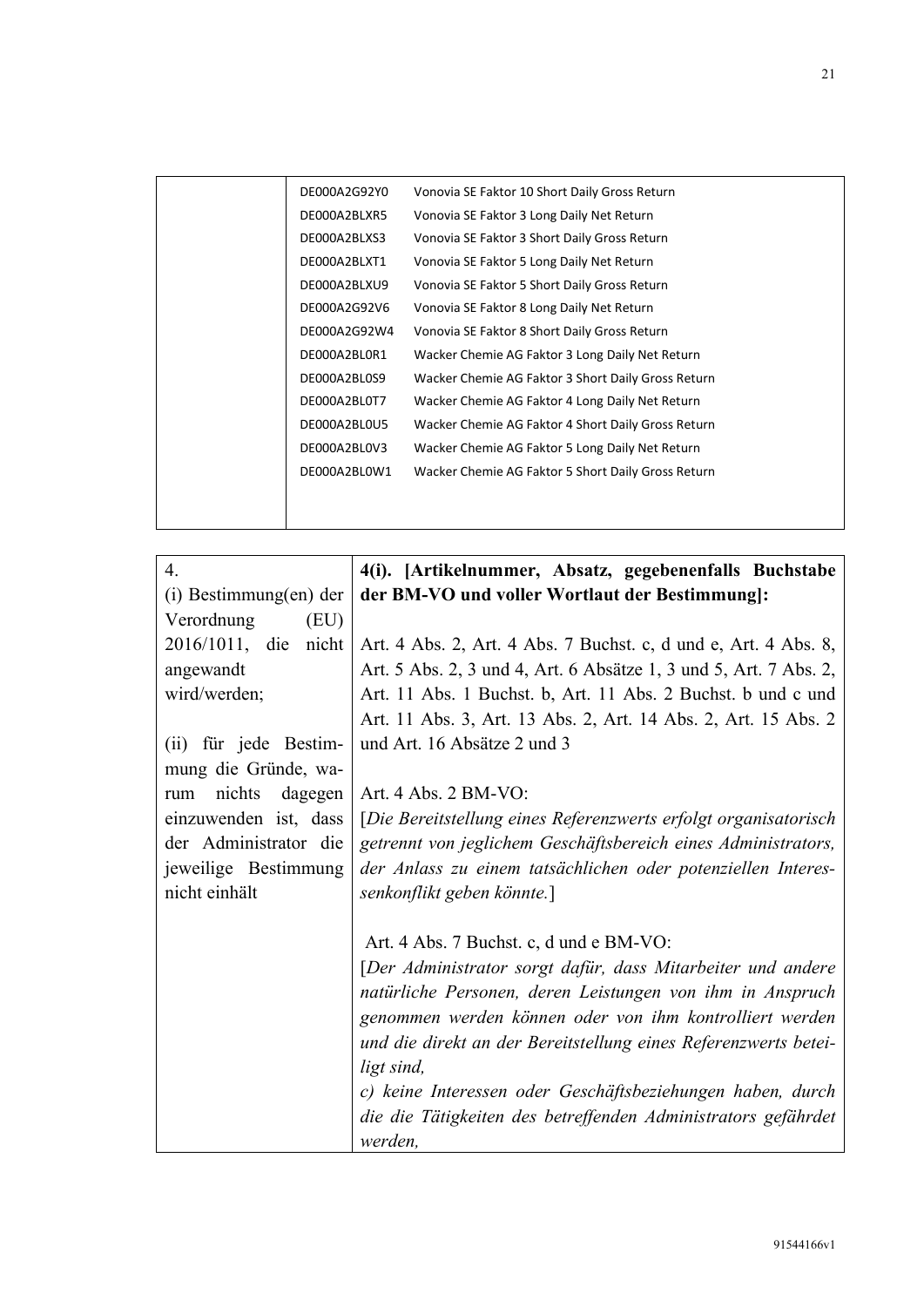|  | DE000A2G92Y0 | Vonovia SE Faktor 10 Short Daily Gross Return      |
|--|--------------|----------------------------------------------------|
|  | DE000A2BLXR5 | Vonovia SE Faktor 3 Long Daily Net Return          |
|  | DE000A2BLXS3 | Vonovia SE Faktor 3 Short Daily Gross Return       |
|  | DE000A2BLXT1 | Vonovia SE Faktor 5 Long Daily Net Return          |
|  | DE000A2BLXU9 | Vonovia SE Faktor 5 Short Daily Gross Return       |
|  | DE000A2G92V6 | Vonovia SE Faktor 8 Long Daily Net Return          |
|  | DE000A2G92W4 | Vonovia SE Faktor 8 Short Daily Gross Return       |
|  | DE000A2BL0R1 | Wacker Chemie AG Faktor 3 Long Daily Net Return    |
|  | DE000A2BL0S9 | Wacker Chemie AG Faktor 3 Short Daily Gross Return |
|  | DE000A2BL0T7 | Wacker Chemie AG Faktor 4 Long Daily Net Return    |
|  | DE000A2BL0U5 | Wacker Chemie AG Faktor 4 Short Daily Gross Return |
|  | DE000A2BL0V3 | Wacker Chemie AG Faktor 5 Long Daily Net Return    |
|  | DE000A2BL0W1 | Wacker Chemie AG Faktor 5 Short Daily Gross Return |
|  |              |                                                    |
|  |              |                                                    |
|  |              |                                                    |

| 4.                       | 4(i). [Artikelnummer, Absatz, gegebenenfalls Buchstabe                   |
|--------------------------|--------------------------------------------------------------------------|
| (i) Bestimmung(en) der   | der BM-VO und voller Wortlaut der Bestimmung]:                           |
| Verordnung<br>(EU)       |                                                                          |
| 2016/1011, die<br>nicht  | Art. 4 Abs. 2, Art. 4 Abs. 7 Buchst. c, d und e, Art. 4 Abs. 8,          |
| angewandt                | Art. 5 Abs. 2, 3 und 4, Art. 6 Absätze 1, 3 und 5, Art. 7 Abs. 2,        |
| wird/werden;             | Art. 11 Abs. 1 Buchst. b, Art. 11 Abs. 2 Buchst. b und c und             |
|                          | Art. 11 Abs. 3, Art. 13 Abs. 2, Art. 14 Abs. 2, Art. 15 Abs. 2           |
| (ii) für jede Bestim-    | und Art. 16 Absätze 2 und 3                                              |
| mung die Gründe, wa-     |                                                                          |
| nichts<br>dagegen<br>rum | Art. 4 Abs. 2 BM-VO:                                                     |
| einzuwenden ist, dass    | [Die Bereitstellung eines Referenzwerts erfolgt organisatorisch          |
| der Administrator die    | getrennt von jeglichem Geschäftsbereich eines Administrators,            |
| jeweilige Bestimmung     | der Anlass zu einem tatsächlichen oder potenziellen Interes-             |
| nicht einhält            | senkonflikt geben könnte.]                                               |
|                          |                                                                          |
|                          | Art. 4 Abs. 7 Buchst. c, d und e BM-VO:                                  |
|                          | [Der Administrator sorgt dafür, dass Mitarbeiter und andere              |
|                          | natürliche Personen, deren Leistungen von ihm in Anspruch                |
|                          | genommen werden können oder von ihm kontrolliert werden                  |
|                          | und die direkt an der Bereitstellung eines Referenzwerts betei-          |
|                          | ligt sind,<br>c) keine Interessen oder Geschäftsbeziehungen haben, durch |
|                          | die die Tätigkeiten des betreffenden Administrators gefährdet            |
|                          | werden,                                                                  |
|                          |                                                                          |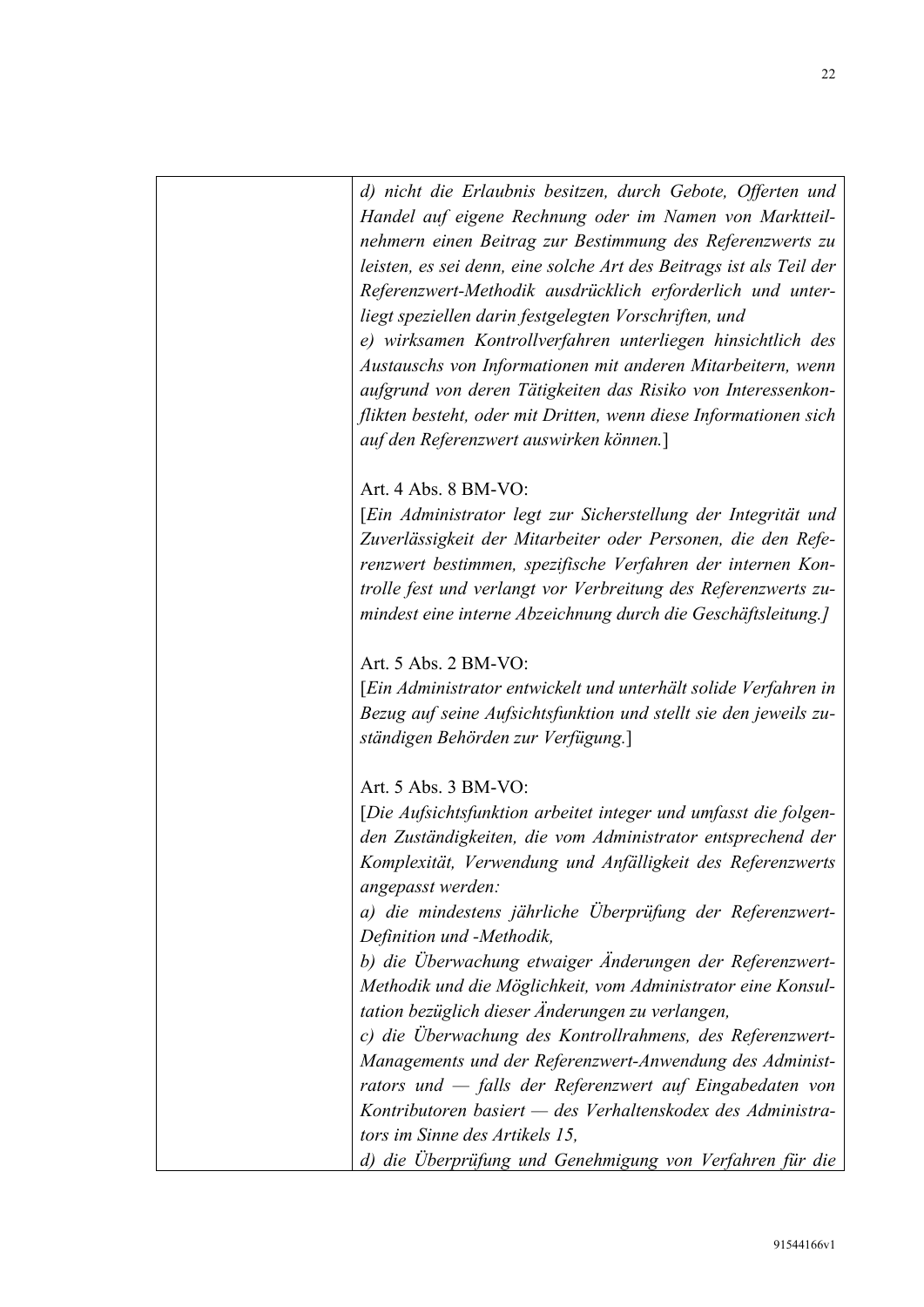d) nicht die Erlaubnis besitzen, durch Gebote, Offerten und Handel auf eigene Rechnung oder im Namen von Marktteilnehmern einen Beitrag zur Bestimmung des Referenzwerts zu leisten, es sei denn, eine solche Art des Beitrags ist als Teil der Referenzwert-Methodik ausdrücklich erforderlich und unterliegt speziellen darin festgelegten Vorschriften, und

e) wirksamen Kontrollverfahren unterliegen hinsichtlich des Austauschs von Informationen mit anderen Mitarbeitern, wenn aufgrund von deren Tätigkeiten das Risiko von Interessenkonflikten besteht, oder mit Dritten, wenn diese Informationen sich auf den Referenzwert auswirken können.]

Art. 4 Abs. 8 BM-VO:

[Ein Administrator legt zur Sicherstellung der Integrität und Zuverlässigkeit der Mitarbeiter oder Personen, die den Referenzwert bestimmen, spezifische Verfahren der internen Kontrolle fest und verlangt vor Verbreitung des Referenzwerts zumindest eine interne Abzeichnung durch die Geschäftsleitung.]

Art. 5 Abs. 2 BM-VO:

[Ein Administrator entwickelt und unterhält solide Verfahren in Bezug auf seine Aufsichtsfunktion und stellt sie den jeweils zuständigen Behörden zur Verfügung.]

Art. 5 Abs. 3 BM-VO:

[Die Aufsichtsfunktion arbeitet integer und umfasst die folgenden Zuständigkeiten, die vom Administrator entsprechend der Komplexität, Verwendung und Anfälligkeit des Referenzwerts angepasst werden:

a) die mindestens jährliche Überprüfung der Referenzwert-Definition und -Methodik,

b) die Überwachung etwaiger Änderungen der Referenzwert-Methodik und die Möglichkeit, vom Administrator eine Konsultation bezüglich dieser Änderungen zu verlangen,

c) die Überwachung des Kontrollrahmens, des Referenzwert-Managements und der Referenzwert-Anwendung des Administrators und — falls der Referenzwert auf Eingabedaten von Kontributoren basiert — des Verhaltenskodex des Administrators im Sinne des Artikels 15,

d) die Überprüfung und Genehmigung von Verfahren für die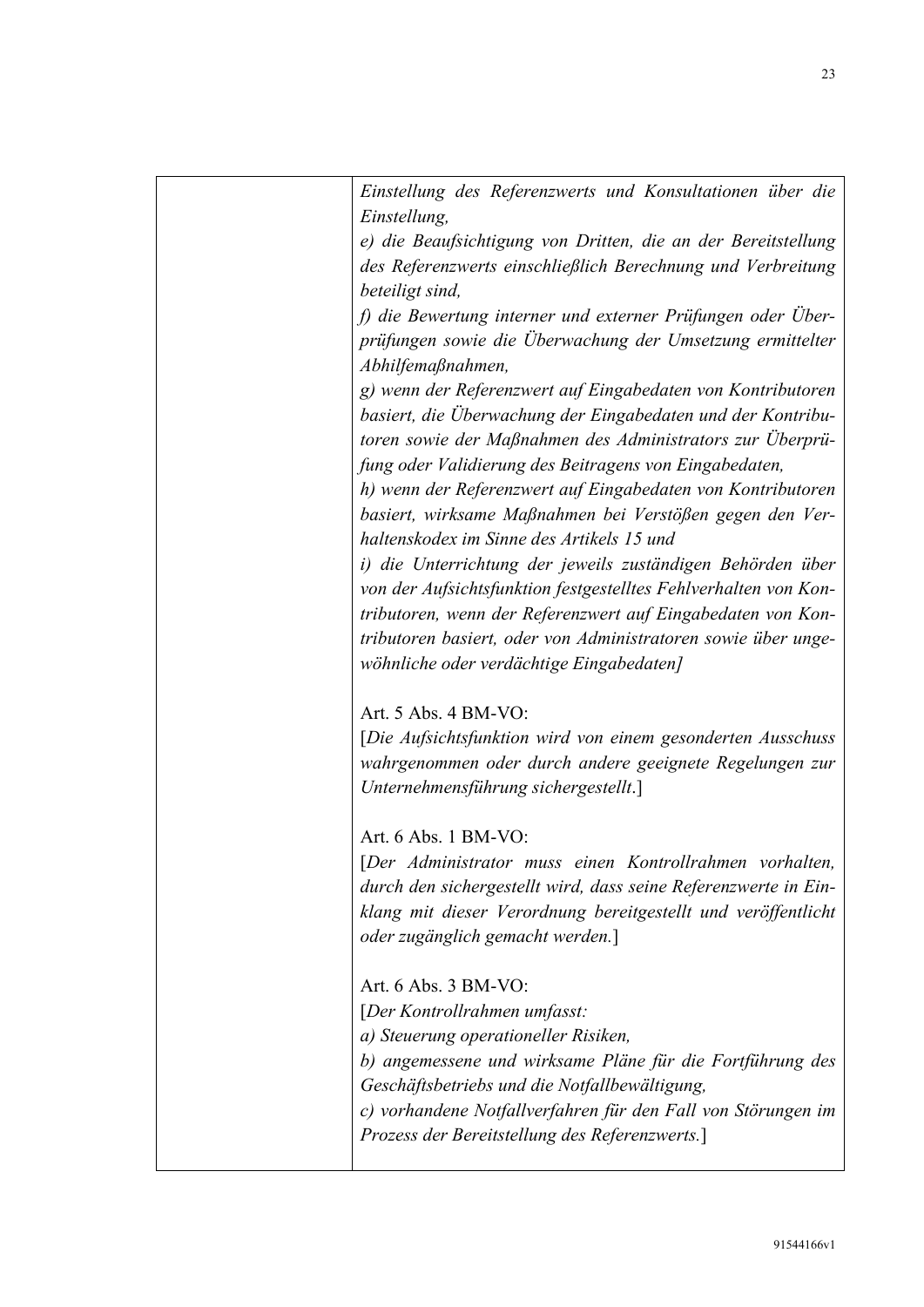| Einstellung des Referenzwerts und Konsultationen über die       |
|-----------------------------------------------------------------|
| Einstellung,                                                    |
| e) die Beaufsichtigung von Dritten, die an der Bereitstellung   |
| des Referenzwerts einschließlich Berechnung und Verbreitung     |
| beteiligt sind,                                                 |
| f) die Bewertung interner und externer Prüfungen oder Über-     |
| prüfungen sowie die Überwachung der Umsetzung ermittelter       |
| Abhilfemaßnahmen,                                               |
| g) wenn der Referenzwert auf Eingabedaten von Kontributoren     |
|                                                                 |
| basiert, die Uberwachung der Eingabedaten und der Kontribu-     |
| toren sowie der Maßnahmen des Administrators zur Überprü-       |
| fung oder Validierung des Beitragens von Eingabedaten,          |
| h) wenn der Referenzwert auf Eingabedaten von Kontributoren     |
| basiert, wirksame Maßnahmen bei Verstößen gegen den Ver-        |
| haltenskodex im Sinne des Artikels 15 und                       |
| i) die Unterrichtung der jeweils zuständigen Behörden über      |
| von der Aufsichtsfunktion festgestelltes Fehlverhalten von Kon- |
| tributoren, wenn der Referenzwert auf Eingabedaten von Kon-     |
|                                                                 |
| tributoren basiert, oder von Administratoren sowie über unge-   |
| wöhnliche oder verdächtige Eingabedaten]                        |
| Art. 5 Abs. 4 BM-VO:                                            |
| [Die Aufsichtsfunktion wird von einem gesonderten Ausschuss     |
| wahrgenommen oder durch andere geeignete Regelungen zur         |
|                                                                 |
| Unternehmensführung sichergestellt.]                            |
| Art. 6 Abs. 1 BM-VO:                                            |
| [Der Administrator muss einen Kontrollrahmen vorhalten,         |
| durch den sichergestellt wird, dass seine Referenzwerte in Ein- |
| klang mit dieser Verordnung bereitgestellt und veröffentlicht   |
| oder zugänglich gemacht werden.]                                |
|                                                                 |
| Art. 6 Abs. 3 BM-VO:                                            |
| [Der Kontrollrahmen umfasst:                                    |
| a) Steuerung operationeller Risiken,                            |
| b) angemessene und wirksame Pläne für die Fortführung des       |
| Geschäftsbetriebs und die Notfallbewältigung,                   |
|                                                                 |
| c) vorhandene Notfallverfahren für den Fall von Störungen im    |
| Prozess der Bereitstellung des Referenzwerts.                   |
|                                                                 |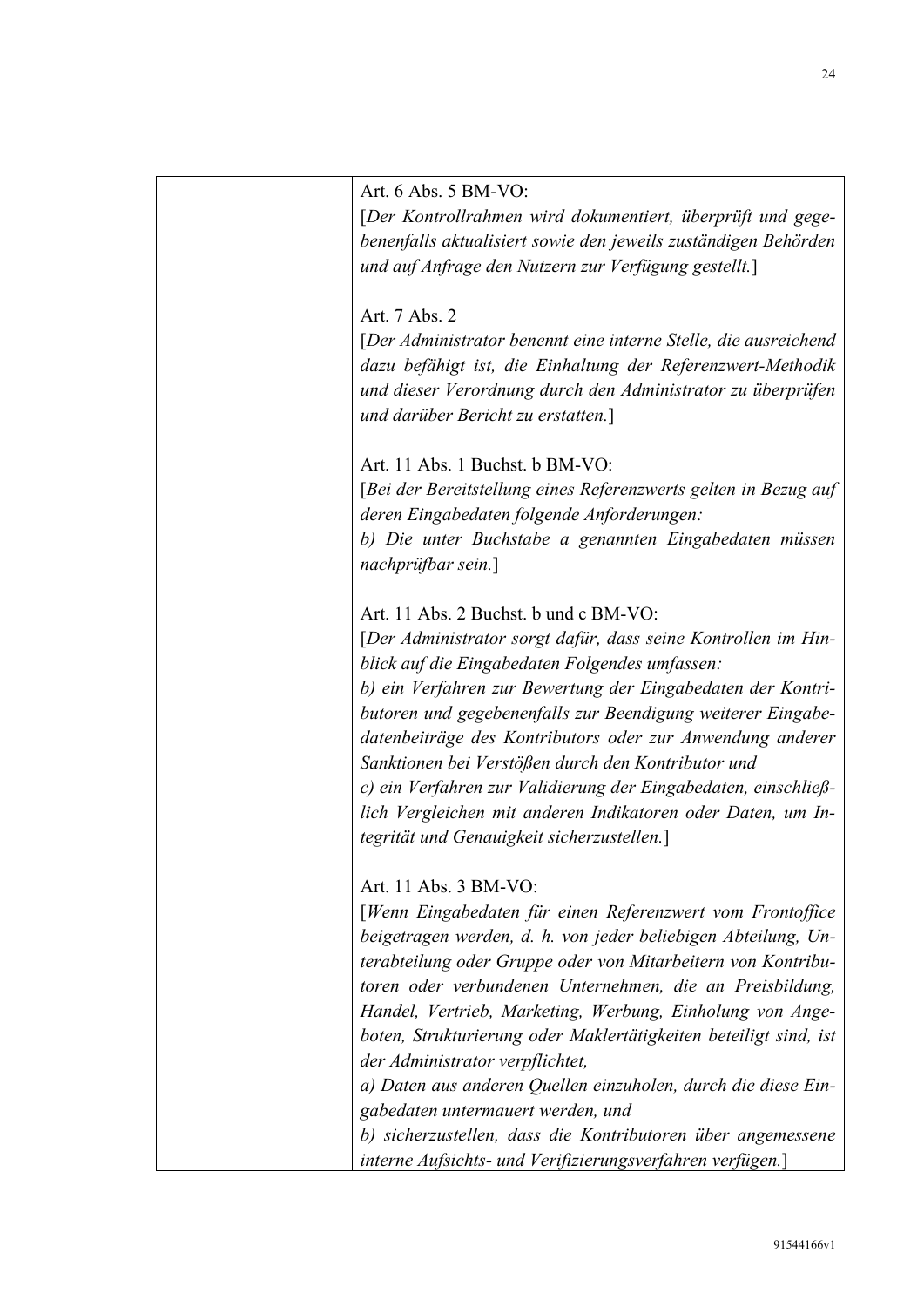Art. 6 Abs. 5 BM-VO:

[Der Kontrollrahmen wird dokumentiert, überprüft und gegebenenfalls aktualisiert sowie den jeweils zuständigen Behörden und auf Anfrage den Nutzern zur Verfügung gestellt.]

Art. 7 Abs. 2

[Der Administrator benennt eine interne Stelle, die ausreichend dazu befähigt ist, die Einhaltung der Referenzwert-Methodik und dieser Verordnung durch den Administrator zu überprüfen und darüber Bericht zu erstatten.]

Art. 11 Abs. 1 Buchst. b BM-VO:

[Bei der Bereitstellung eines Referenzwerts gelten in Bezug auf deren Eingabedaten folgende Anforderungen:

b) Die unter Buchstabe a genannten Eingabedaten müssen nachprüfbar sein.]

Art. 11 Abs. 2 Buchst. b und c BM-VO:

[Der Administrator sorgt dafür, dass seine Kontrollen im Hinblick auf die Eingabedaten Folgendes umfassen:

b) ein Verfahren zur Bewertung der Eingabedaten der Kontributoren und gegebenenfalls zur Beendigung weiterer Eingabedatenbeiträge des Kontributors oder zur Anwendung anderer Sanktionen bei Verstößen durch den Kontributor und

c) ein Verfahren zur Validierung der Eingabedaten, einschließlich Vergleichen mit anderen Indikatoren oder Daten, um Integrität und Genauigkeit sicherzustellen.]

Art. 11 Abs. 3 BM-VO:

[Wenn Eingabedaten für einen Referenzwert vom Frontoffice beigetragen werden, d. h. von jeder beliebigen Abteilung, Unterabteilung oder Gruppe oder von Mitarbeitern von Kontributoren oder verbundenen Unternehmen, die an Preisbildung, Handel, Vertrieb, Marketing, Werbung, Einholung von Angeboten, Strukturierung oder Maklertätigkeiten beteiligt sind, ist der Administrator verpflichtet,

a) Daten aus anderen Quellen einzuholen, durch die diese Eingabedaten untermauert werden, und

b) sicherzustellen, dass die Kontributoren über angemessene interne Aufsichts- und Verifizierungsverfahren verfügen.]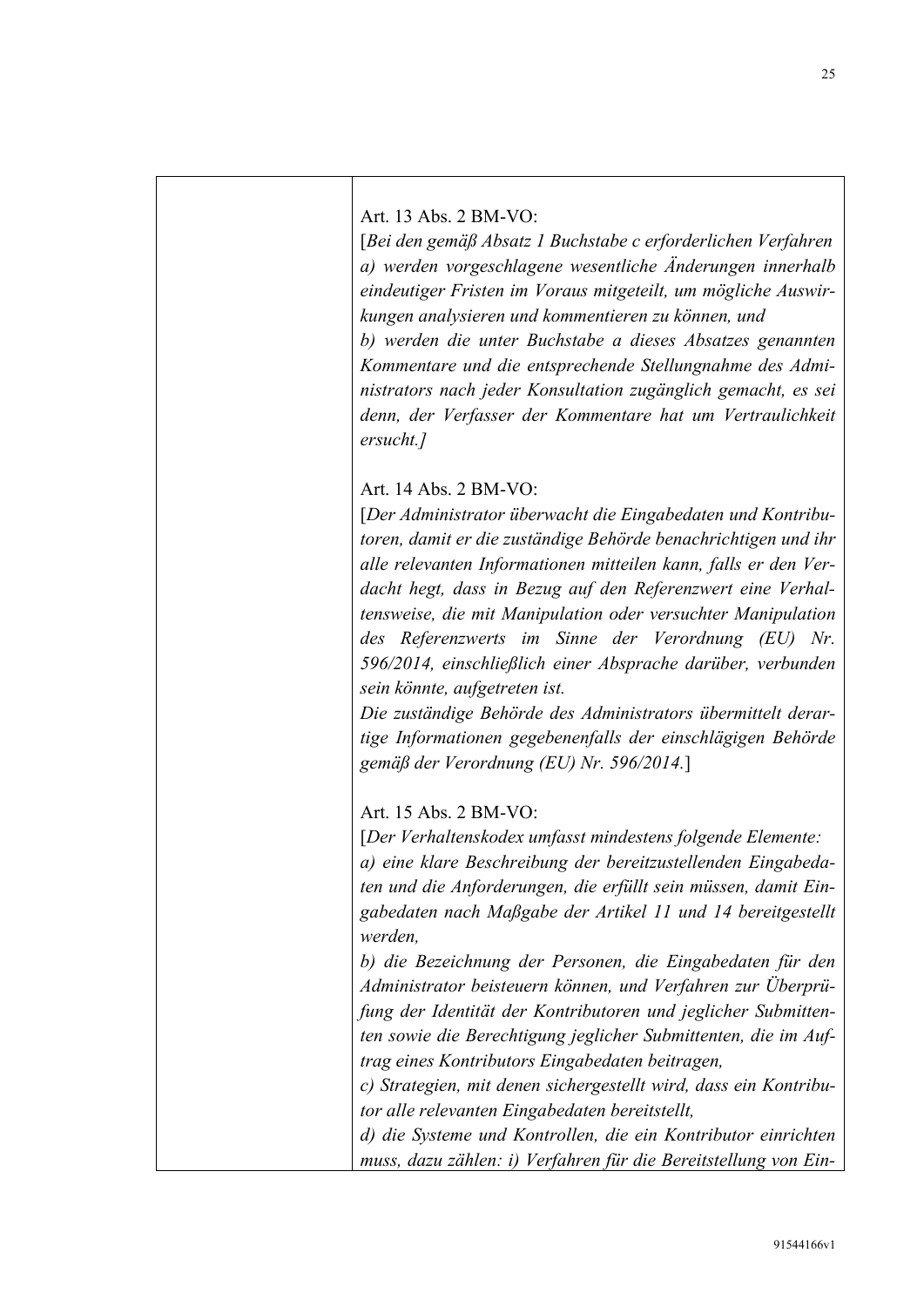Art. 13 Abs. 2 BM-VO:

[Bei den gemäß Absatz 1 Buchstabe c erforderlichen Verfahren a) werden vorgeschlagene wesentliche Änderungen innerhalb eindeutiger Fristen im Voraus mitgeteilt, um mögliche Auswirkungen analysieren und kommentieren zu können, und

b) werden die unter Buchstabe a dieses Absatzes genannten Kommentare und die entsprechende Stellungnahme des Administrators nach jeder Konsultation zugänglich gemacht, es sei denn, der Verfasser der Kommentare hat um Vertraulichkeit ersucht.]

Art. 14 Abs. 2 BM-VO:

[Der Administrator überwacht die Eingabedaten und Kontributoren, damit er die zuständige Behörde benachrichtigen und ihr alle relevanten Informationen mitteilen kann, falls er den Verdacht hegt, dass in Bezug auf den Referenzwert eine Verhaltensweise, die mit Manipulation oder versuchter Manipulation des Referenzwerts im Sinne der Verordnung (EU) Nr. 596/2014, einschließlich einer Absprache darüber, verbunden sein könnte, aufgetreten ist.

Die zuständige Behörde des Administrators übermittelt derartige Informationen gegebenenfalls der einschlägigen Behörde gemäß der Verordnung (EU) Nr. 596/2014.]

Art. 15 Abs. 2 BM-VO:

[Der Verhaltenskodex umfasst mindestens folgende Elemente: a) eine klare Beschreibung der bereitzustellenden Eingabedaten und die Anforderungen, die erfüllt sein müssen, damit Eingabedaten nach Maßgabe der Artikel 11 und 14 bereitgestellt werden,

b) die Bezeichnung der Personen, die Eingabedaten für den Administrator beisteuern können, und Verfahren zur Überprüfung der Identität der Kontributoren und jeglicher Submittenten sowie die Berechtigung jeglicher Submittenten, die im Auftrag eines Kontributors Eingabedaten beitragen,

c) Strategien, mit denen sichergestellt wird, dass ein Kontributor alle relevanten Eingabedaten bereitstellt,

d) die Systeme und Kontrollen, die ein Kontributor einrichten muss, dazu zählen: i) Verfahren für die Bereitstellung von Ein-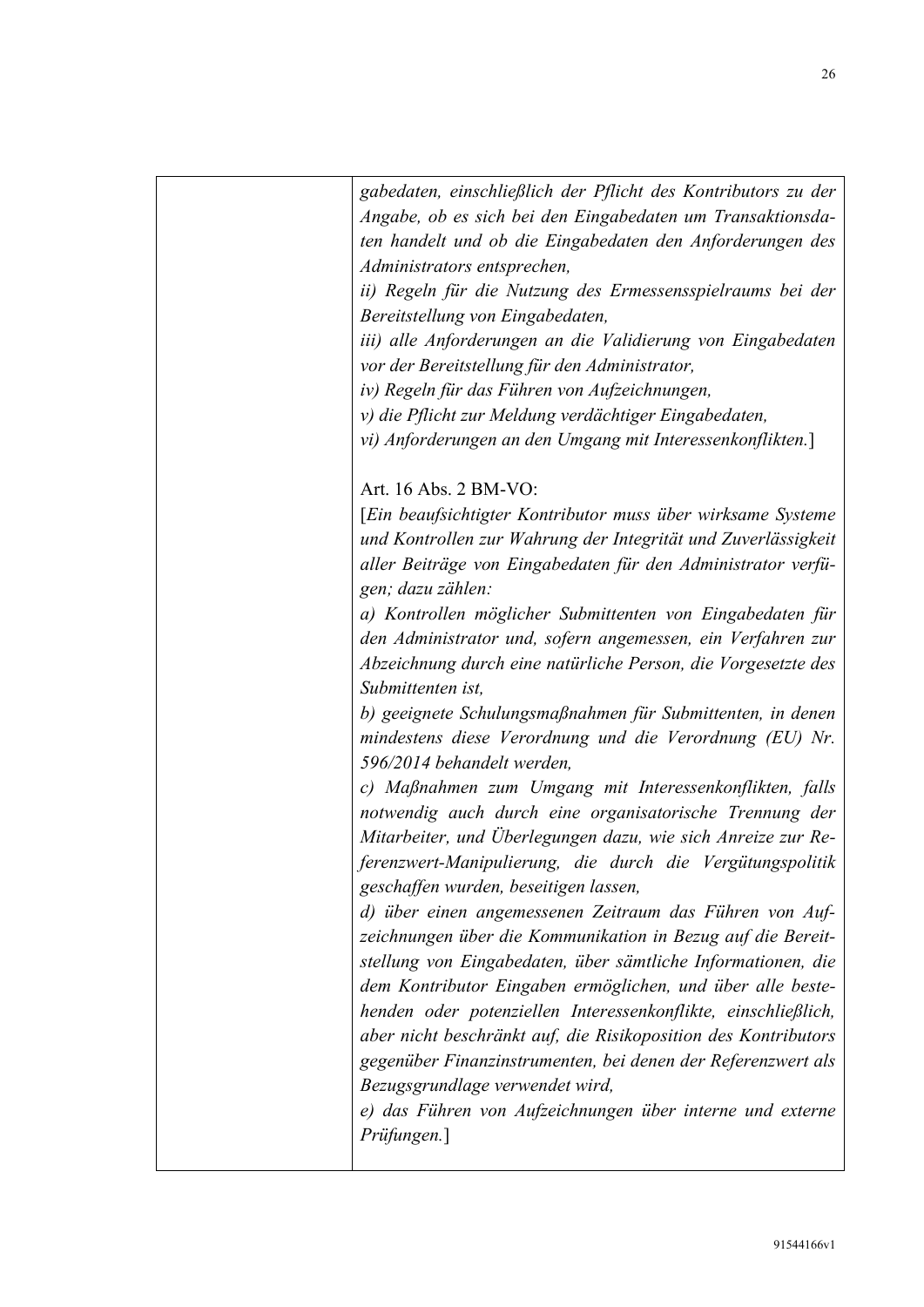| gabedaten, einschließlich der Pflicht des Kontributors zu der                                                           |
|-------------------------------------------------------------------------------------------------------------------------|
| Angabe, ob es sich bei den Eingabedaten um Transaktionsda-<br>ten handelt und ob die Eingabedaten den Anforderungen des |
| Administrators entsprechen,                                                                                             |
| ii) Regeln für die Nutzung des Ermessensspielraums bei der<br>Bereitstellung von Eingabedaten,                          |
| iii) alle Anforderungen an die Validierung von Eingabedaten                                                             |
| vor der Bereitstellung für den Administrator,                                                                           |
| iv) Regeln für das Führen von Aufzeichnungen,                                                                           |
| v) die Pflicht zur Meldung verdächtiger Eingabedaten,                                                                   |
| vi) Anforderungen an den Umgang mit Interessenkonflikten.]                                                              |
| Art. 16 Abs. 2 BM-VO:                                                                                                   |
| Ein beaufsichtigter Kontributor muss über wirksame Systeme                                                              |
| und Kontrollen zur Wahrung der Integrität und Zuverlässigkeit                                                           |
| aller Beiträge von Eingabedaten für den Administrator verfü-<br>gen; dazu zählen:                                       |
| a) Kontrollen möglicher Submittenten von Eingabedaten für                                                               |
| den Administrator und, sofern angemessen, ein Verfahren zur                                                             |
| Abzeichnung durch eine natürliche Person, die Vorgesetzte des                                                           |
| Submittenten ist,                                                                                                       |
| b) geeignete Schulungsmaßnahmen für Submittenten, in denen                                                              |
| mindestens diese Verordnung und die Verordnung (EU) Nr.                                                                 |
| 596/2014 behandelt werden,                                                                                              |
| c) Maßnahmen zum Umgang mit Interessenkonflikten, falls<br>notwendig auch durch eine organisatorische Trennung der      |
| Mitarbeiter, und Überlegungen dazu, wie sich Anreize zur Re-                                                            |
| ferenzwert-Manipulierung, die durch die Vergütungspolitik<br>geschaffen wurden, beseitigen lassen,                      |
| d) über einen angemessenen Zeitraum das Führen von Auf-                                                                 |
| zeichnungen über die Kommunikation in Bezug auf die Bereit-                                                             |
| stellung von Eingabedaten, über sämtliche Informationen, die                                                            |
| dem Kontributor Eingaben ermöglichen, und über alle beste-                                                              |
| henden oder potenziellen Interessenkonflikte, einschließlich,                                                           |
| aber nicht beschränkt auf, die Risikoposition des Kontributors                                                          |
| gegenüber Finanzinstrumenten, bei denen der Referenzwert als                                                            |
| Bezugsgrundlage verwendet wird,                                                                                         |
| e) das Führen von Aufzeichnungen über interne und externe                                                               |
| Prüfungen.]                                                                                                             |
|                                                                                                                         |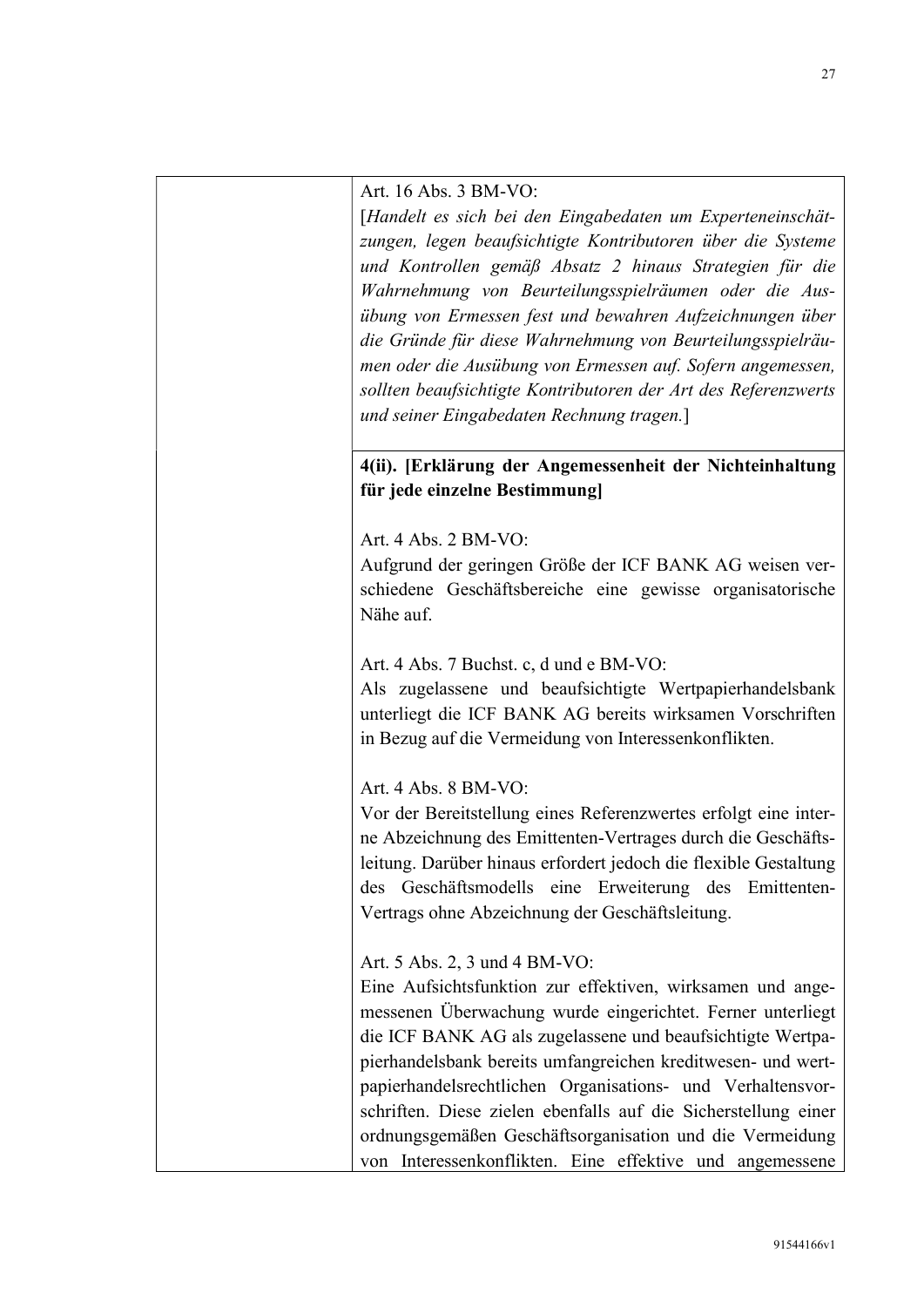Art. 16 Abs. 3 BM-VO:

[Handelt es sich bei den Eingabedaten um Experteneinschätzungen, legen beaufsichtigte Kontributoren über die Systeme und Kontrollen gemäß Absatz 2 hinaus Strategien für die Wahrnehmung von Beurteilungsspielräumen oder die Ausübung von Ermessen fest und bewahren Aufzeichnungen über die Gründe für diese Wahrnehmung von Beurteilungsspielräumen oder die Ausübung von Ermessen auf. Sofern angemessen, sollten beaufsichtigte Kontributoren der Art des Referenzwerts und seiner Eingabedaten Rechnung tragen.]

4(ii). [Erklärung der Angemessenheit der Nichteinhaltung für jede einzelne Bestimmung]

Art. 4 Abs. 2 BM-VO:

Aufgrund der geringen Größe der ICF BANK AG weisen verschiedene Geschäftsbereiche eine gewisse organisatorische Nähe auf.

Art. 4 Abs. 7 Buchst. c, d und e BM-VO:

Als zugelassene und beaufsichtigte Wertpapierhandelsbank unterliegt die ICF BANK AG bereits wirksamen Vorschriften in Bezug auf die Vermeidung von Interessenkonflikten.

Art. 4 Abs. 8 BM-VO:

Vor der Bereitstellung eines Referenzwertes erfolgt eine interne Abzeichnung des Emittenten-Vertrages durch die Geschäftsleitung. Darüber hinaus erfordert jedoch die flexible Gestaltung des Geschäftsmodells eine Erweiterung des Emittenten-Vertrags ohne Abzeichnung der Geschäftsleitung.

Art. 5 Abs. 2, 3 und 4 BM-VO:

Eine Aufsichtsfunktion zur effektiven, wirksamen und angemessenen Überwachung wurde eingerichtet. Ferner unterliegt die ICF BANK AG als zugelassene und beaufsichtigte Wertpapierhandelsbank bereits umfangreichen kreditwesen- und wertpapierhandelsrechtlichen Organisations- und Verhaltensvorschriften. Diese zielen ebenfalls auf die Sicherstellung einer ordnungsgemäßen Geschäftsorganisation und die Vermeidung von Interessenkonflikten. Eine effektive und angemessene